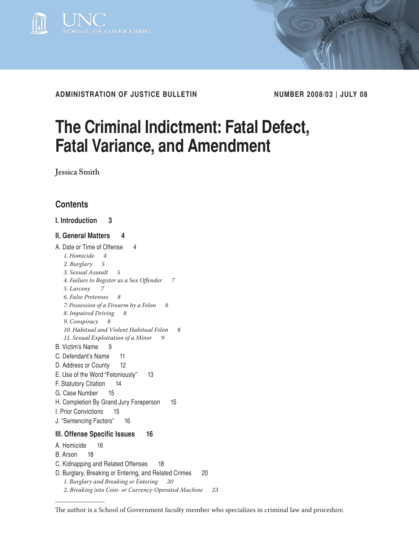

**administration of justice bulletin Number 2008/03 | July 08**

# **The Criminal Indictment: Fatal Defect, Fatal Variance, and Amendment**

**Jessica Smith**

# **Contents**

# **[I. Introduction 3](#page-2-0)**

# **[II. General Matters 4](#page-3-0)**

[A. Date or Time of Offense 4](#page-3-0) *[1. Homicide 4](#page-3-0) [2. Burglary 5](#page-4-0) [3. Sexual Assault 5](#page-4-0) [4. Failure to Register as a Sex Offender 7](#page-6-0) [5. Larceny 7](#page-6-0) [6. False Pretenses 8](#page-7-0) [7. Possession of a Firearm by a Felon 8](#page-7-0) [8. Impaired Driving 8](#page-7-0) [9. Conspiracy 8](#page-7-0) [10. Habitual and Violent Habitual Felon 8](#page-7-0) 11. Sexual Exploitation of a Minor 9* [B. Victim's Name 9](#page-8-0) [C. Defendant's Name 11](#page-10-0) [D. Address or County 12](#page-11-0) [E. Use of the Word "Feloniously" 13](#page-12-0) [F. Statutory Citation 14](#page-13-0) [G. Case Number 15](#page-14-0) [H. Completion By Grand Jury Foreperson 15](#page-14-0) [I. Prior Convictions 15](#page-15-0) [J. "Sentencing Factors" 16](#page-15-0) **[III. Offense Specific Issues 1](#page-16-0)6** [A. Homicide 1](#page-16-0)6 [B. Arson 18](#page-17-0) [C. Kidnapping and Related Offenses 1](#page-18-0)8 [D. Burglary, Breaking or Entering, and Related Crimes 20](#page-20-0) *[1. Burglary and Breaking or Entering 20](#page-20-0)*

*[<sup>2.</sup> Breaking into Coin- or Currency-Operated Machine 2](#page-23-0)3*

The author is a School of Government faculty member who specializes in criminal law and procedure.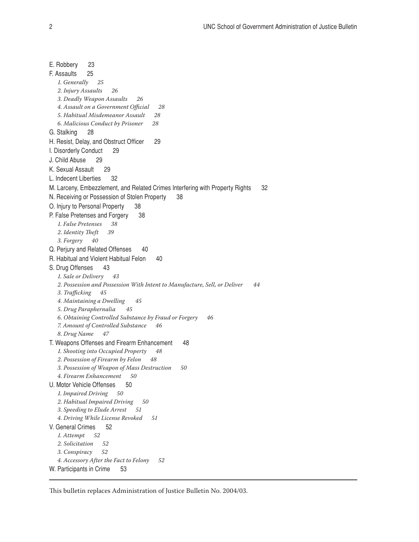[E. Robbery 2](#page-23-0)3 [F. Assaults 25](#page-25-0) *[1. Generally 2](#page-25-0)5 [2. Injury Assaults 26](#page-25-0) [3. Deadly Weapon Assaults 26](#page-25-0) [4. Assault on a Government Official 28](#page-27-0) [5. Habitual Misdemeanor Assault 28](#page-28-0) [6. Malicious Conduct by Prisoner 2](#page-28-0)8* [G. Stalking 2](#page-28-0)8 [H. Resist, Delay, and Obstruct Officer 29](#page-28-0) [I. Disorderly Conduct](#page-29-0) 29 [J. Child Abuse](#page-29-0) 29 [K. Sexual Assault](#page-29-0) 29 [L. Indecent Liberties 32](#page-31-0) [M. Larceny, Embezzlement, and Related Crimes Interfering with Property Rights 32](#page-32-0) [N. Receiving or Possession of Stolen Property 38](#page-37-0) [O. Injury to Personal Property 38](#page-37-0) [P. False Pretenses and Forgery 3](#page-38-0)8 *[1. False Pretenses 3](#page-38-0)8 [2. Identity Theft](#page-39-0) 39 [3. Forgery 40](#page-39-0)* [Q. Perjury and Related Offenses 40](#page-40-0) [R. Habitual and Violent Habitual Felon 40](#page-40-0) [S. Drug Offenses 43](#page-43-0) *[1. Sale or Delivery 4](#page-43-0)3 [2. Possession and Possession With Intent to Manufacture, Sell, or Deliver 4](#page-44-0)4 [3. Trafficking 45](#page-44-0) [4. Maintaining a Dwelling 45](#page-44-0) [5. Drug Paraphernalia 4](#page-45-0)5 [6. Obtaining Controlled Substance by Fraud or Forgery 46](#page-45-0) [7. Amount of Controlled Substance 4](#page-46-0)6 [8. Drug Name 47](#page-46-0)* [T. Weapons Offenses and Firearm Enhancement 48](#page-47-0) *[1. Shooting into Occupied Property 48](#page-47-0) [2. Possession of Firearm by Felon 48](#page-47-0) [3. Possession of Weapon of Mass Destruction 50](#page-49-0) [4. Firearm Enhancement 50](#page-49-0)* [U. Motor Vehicle Offenses 50](#page-49-0) *[1. Impaired Driving 50](#page-49-0) [2. Habitual Impaired Driving 50](#page-49-0) [3. Speeding to Elude Arrest 51](#page-50-0) [4. Driving While License Revoked 51](#page-51-0)* [V. General Crimes 52](#page-51-0) *[1. Attempt 52](#page-51-0) [2. Solicitation 52](#page-51-0) [3. Conspiracy 52](#page-51-0) [4. Accessory After the Fact to Felony 52](#page-52-0)* [W. Participants in Crime 53](#page-52-0)

This bulletin replaces Administration of Justice Bulletin No. 2004/03.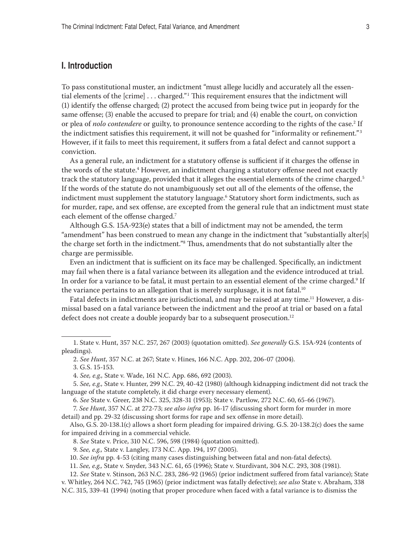# <span id="page-2-0"></span>**I. Introduction**

To pass constitutional muster, an indictment "must allege lucidly and accurately all the essential elements of the  $[$ crime $] \ldots$  charged." $^1$  This requirement ensures that the indictment will (1) identify the offense charged; (2) protect the accused from being twice put in jeopardy for the same offense; (3) enable the accused to prepare for trial; and (4) enable the court, on conviction or plea of *nolo contendere* or guilty, to pronounce sentence according to the rights of the case.<sup>2</sup> If the indictment satisfies this requirement, it will not be quashed for "informality or refinement."<sup>3</sup> However, if it fails to meet this requirement, it suffers from a fatal defect and cannot support a conviction.

As a general rule, an indictment for a statutory offense is sufficient if it charges the offense in the words of the statute.<sup>4</sup> However, an indictment charging a statutory offense need not exactly track the statutory language, provided that it alleges the essential elements of the crime charged.<sup>5</sup> If the words of the statute do not unambiguously set out all of the elements of the offense, the indictment must supplement the statutory language.<sup>6</sup> Statutory short form indictments, such as for murder, rape, and sex offense, are excepted from the general rule that an indictment must state each element of the offense charged.<sup>7</sup>

Although G.S. 15A-923(e) states that a bill of indictment may not be amended, the term "amendment" has been construed to mean any change in the indictment that "substantially alter[s] the charge set forth in the indictment."8 Thus, amendments that do not substantially alter the charge are permissible.

Even an indictment that is sufficient on its face may be challenged. Specifically, an indictment may fail when there is a fatal variance between its allegation and the evidence introduced at trial. In order for a variance to be fatal, it must pertain to an essential element of the crime charged. $^{\rm 9}$  If the variance pertains to an allegation that is merely surplusage, it is not fatal.<sup>10</sup>

Fatal defects in indictments are jurisdictional, and may be raised at any time.<sup>11</sup> However, a dismissal based on a fatal variance between the indictment and the proof at trial or based on a fatal defect does not create a double jeopardy bar to a subsequent prosecution.<sup>12</sup>

3. G.S. 15-153.

7. *See Hunt*, 357 N.C. at 272-73; *see also infra* pp. 16-17 (discussing short form for murder in more detail) and pp. 29-32 (discussing short forms for rape and sex offense in more detail).

Also, G.S. 20-138.1(c) allows a short form pleading for impaired driving. G.S. 20-138.2(c) does the same for impaired driving in a commercial vehicle.

8. *See* State v. Price, 310 N.C. 596, 598 (1984) (quotation omitted).

11. *See, e.g.,* State v. Snyder, 343 N.C. 61, 65 (1996); State v. Sturdivant, 304 N.C. 293, 308 (1981).

<sup>1.</sup> State v. Hunt, 357 N.C. 257, 267 (2003) (quotation omitted). *See generally* G.S. 15A-924 (contents of pleadings).

<sup>2.</sup> *See Hunt*, 357 N.C. at 267; State v. Hines, 166 N.C. App. 202, 206-07 (2004).

<sup>4.</sup> *See, e.g.,* State v. Wade, 161 N.C. App. 686, 692 (2003).

<sup>5.</sup> *See, e.g.,* State v. Hunter, 299 N.C. 29, 40-42 (1980) (although kidnapping indictment did not track the language of the statute completely, it did charge every necessary element).

<sup>6.</sup> *See* State v. Greer, 238 N.C. 325, 328-31 (1953); State v. Partlow, 272 N.C. 60, 65-66 (1967).

<sup>9.</sup> *See, e.g.,* State v. Langley, 173 N.C. App. 194, 197 (2005).

<sup>10.</sup> *See infra* pp. 4-53 (citing many cases distinguishing between fatal and non-fatal defects).

<sup>12.</sup> *See* State v. Stinson, 263 N.C. 283, 286-92 (1965) (prior indictment suffered from fatal variance); State v. Whitley, 264 N.C. 742, 745 (1965) (prior indictment was fatally defective); *see also* State v. Abraham, 338 N.C. 315, 339-41 (1994) (noting that proper procedure when faced with a fatal variance is to dismiss the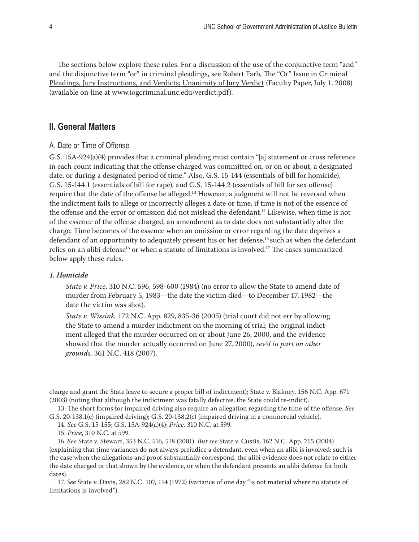<span id="page-3-0"></span>The sections below explore these rules. For a discussion of the use of the conjunctive term "and" and the disjunctive term "or" in criminal pleadings, see Robert Farb, The "Or" Issue in Criminal Pleadings, Jury Instructions, and Verdicts; Unanimity of Jury Verdict (Faculty Paper, July 1, 2008) (available on-line at www.iogcriminal.unc.edu/verdict.pdf).

# **II. General Matters**

## A. Date or Time of Offense

G.S. 15A-924(a)(4) provides that a criminal pleading must contain "[a] statement or cross reference in each count indicating that the offense charged was committed on, or on or about, a designated date, or during a designated period of time." Also, G.S. 15-144 (essentials of bill for homicide), G.S. 15-144.1 (essentials of bill for rape), and G.S. 15-144.2 (essentials of bill for sex offense) require that the date of the offense be alleged.13 However, a judgment will not be reversed when the indictment fails to allege or incorrectly alleges a date or time, if time is not of the essence of the offense and the error or omission did not mislead the defendant.14 Likewise, when time is not of the essence of the offense charged, an amendment as to date does not substantially alter the charge. Time becomes of the essence when an omission or error regarding the date deprives a defendant of an opportunity to adequately present his or her defense,<sup>15</sup> such as when the defendant relies on an alibi defense<sup>16</sup> or when a statute of limitations is involved.<sup>17</sup> The cases summarized below apply these rules.

#### *1. Homicide*

*State v. Price*, 310 N.C. 596, 598-600 (1984) (no error to allow the State to amend date of murder from February 5, 1983—the date the victim died—to December 17, 1982—the date the victim was shot).

*State v. Wissink,* 172 N.C. App. 829, 835-36 (2005) (trial court did not err by allowing the State to amend a murder indictment on the morning of trial; the original indictment alleged that the murder occurred on or about June 26, 2000, and the evidence showed that the murder actually occurred on June 27, 2000), *rev'd in part on other grounds,* 361 N.C. 418 (2007).

charge and grant the State leave to secure a proper bill of indictment); State v. Blakney, 156 N.C. App. 671 (2003) (noting that although the indictment was fatally defective, the State could re-indict).

<sup>13.</sup> The short forms for impaired driving also require an allegation regarding the time of the offense. *See* G.S. 20-138.1(c) (impaired driving); G.S. 20-138.2(c) (impaired driving in a commercial vehicle).

<sup>14.</sup> *See* G.S. 15-155; G.S. 15A-924(a)(4); *Price,* 310 N.C. at 599.

<sup>15.</sup> *Price*, 310 N.C. at 599.

<sup>16.</sup> *See* State v. Stewart, 353 N.C. 516, 518 (2001). *But see* State v. Custis, 162 N.C. App. 715 (2004) (explaining that time variances do not always prejudice a defendant, even when an alibi is involved; such is the case when the allegations and proof substantially correspond, the alibi evidence does not relate to either the date charged or that shown by the evidence, or when the defendant presents an alibi defense for both dates).

<sup>17.</sup> *See* State v. Davis, 282 N.C. 107, 114 (1972) (variance of one day "is not material where no statute of limitations is involved").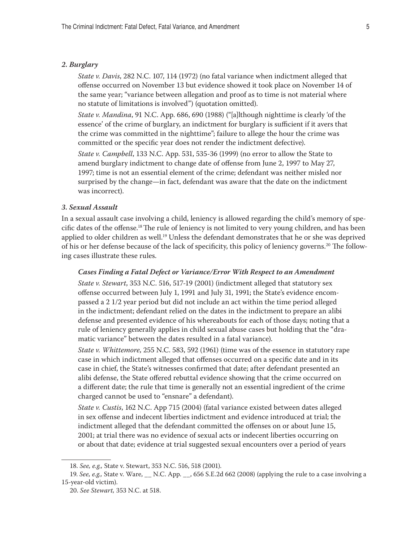#### <span id="page-4-0"></span>*2. Burglary*

*State v. Davis*, 282 N.C. 107, 114 (1972) (no fatal variance when indictment alleged that offense occurred on November 13 but evidence showed it took place on November 14 of the same year; "variance between allegation and proof as to time is not material where no statute of limitations is involved") (quotation omitted).

*State v. Mandina*, 91 N.C. App. 686, 690 (1988) ("[a]lthough nighttime is clearly 'of the essence' of the crime of burglary, an indictment for burglary is sufficient if it avers that the crime was committed in the nighttime"; failure to allege the hour the crime was committed or the specific year does not render the indictment defective).

*State v. Campbell*, 133 N.C. App. 531, 535-36 (1999) (no error to allow the State to amend burglary indictment to change date of offense from June 2, 1997 to May 27, 1997; time is not an essential element of the crime; defendant was neither misled nor surprised by the change—in fact, defendant was aware that the date on the indictment was incorrect).

#### *3. Sexual Assault*

In a sexual assault case involving a child, leniency is allowed regarding the child's memory of specific dates of the offense.18 The rule of leniency is not limited to very young children, and has been applied to older children as well.<sup>19</sup> Unless the defendant demonstrates that he or she was deprived of his or her defense because of the lack of specificity, this policy of leniency governs.20 The following cases illustrate these rules.

# *Cases Finding a Fatal Defect or Variance/Error With Respect to an Amendment*

*State v. Stewart*, 353 N.C. 516, 517-19 (2001) (indictment alleged that statutory sex offense occurred between July 1, 1991 and July 31, 1991; the State's evidence encompassed a 2 1/2 year period but did not include an act within the time period alleged in the indictment; defendant relied on the dates in the indictment to prepare an alibi defense and presented evidence of his whereabouts for each of those days; noting that a rule of leniency generally applies in child sexual abuse cases but holding that the "dramatic variance" between the dates resulted in a fatal variance).

*State v. Whittemore*, 255 N.C. 583, 592 (1961) (time was of the essence in statutory rape case in which indictment alleged that offenses occurred on a specific date and in its case in chief, the State's witnesses confirmed that date; after defendant presented an alibi defense, the State offered rebuttal evidence showing that the crime occurred on a different date; the rule that time is generally not an essential ingredient of the crime charged cannot be used to "ensnare" a defendant).

*State v. Custis*, 162 N.C. App 715 (2004) (fatal variance existed between dates alleged in sex offense and indecent liberties indictment and evidence introduced at trial; the indictment alleged that the defendant committed the offenses on or about June 15, 2001; at trial there was no evidence of sexual acts or indecent liberties occurring on or about that date; evidence at trial suggested sexual encounters over a period of years

<sup>18.</sup> *See, e.g.,* State v. Stewart, 353 N.C. 516, 518 (2001).

<sup>19.</sup> *See, e.g.,* State v. Ware, \_\_ N.C. App. \_\_, 656 S.E.2d 662 (2008) (applying the rule to a case involving a 15-year-old victim).

<sup>20.</sup> *See Stewart,* 353 N.C. at 518.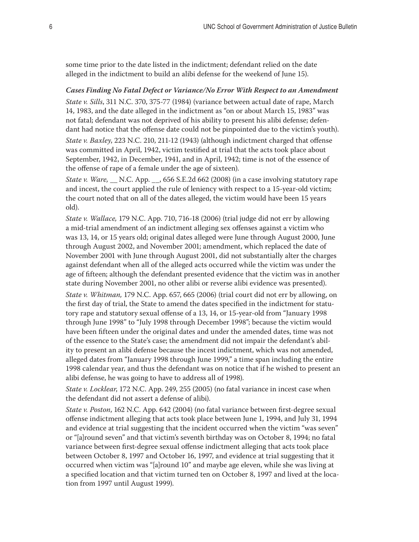some time prior to the date listed in the indictment; defendant relied on the date alleged in the indictment to build an alibi defense for the weekend of June 15).

#### *Cases Finding No Fatal Defect or Variance/No Error With Respect to an Amendment*

*State v. Sills*, 311 N.C. 370, 375-77 (1984) (variance between actual date of rape, March 14, 1983, and the date alleged in the indictment as "on or about March 15, 1983" was not fatal; defendant was not deprived of his ability to present his alibi defense; defendant had notice that the offense date could not be pinpointed due to the victim's youth).

*State v. Baxley*, 223 N.C. 210, 211-12 (1943) (although indictment charged that offense was committed in April, 1942, victim testified at trial that the acts took place about September, 1942, in December, 1941, and in April, 1942; time is not of the essence of the offense of rape of a female under the age of sixteen).

*State v. Ware,* \_\_ N.C. App. \_\_, 656 S.E.2d 662 (2008) (in a case involving statutory rape and incest, the court applied the rule of leniency with respect to a 15-year-old victim; the court noted that on all of the dates alleged, the victim would have been 15 years old).

*State v. Wallace,* 179 N.C. App. 710, 716-18 (2006) (trial judge did not err by allowing a mid-trial amendment of an indictment alleging sex offenses against a victim who was 13, 14, or 15 years old; original dates alleged were June through August 2000, June through August 2002, and November 2001; amendment, which replaced the date of November 2001 with June through August 2001, did not substantially alter the charges against defendant when all of the alleged acts occurred while the victim was under the age of fifteen; although the defendant presented evidence that the victim was in another state during November 2001, no other alibi or reverse alibi evidence was presented).

*State v. Whitman,* 179 N.C. App. 657, 665 (2006) (trial court did not err by allowing, on the first day of trial, the State to amend the dates specified in the indictment for statutory rape and statutory sexual offense of a 13, 14, or 15-year-old from "January 1998 through June 1998" to "July 1998 through December 1998"; because the victim would have been fifteen under the original dates and under the amended dates, time was not of the essence to the State's case; the amendment did not impair the defendant's ability to present an alibi defense because the incest indictment, which was not amended, alleged dates from "January 1998 through June 1999," a time span including the entire 1998 calendar year, and thus the defendant was on notice that if he wished to present an alibi defense, he was going to have to address all of 1998).

*State v. Locklear*, 172 N.C. App. 249, 255 (2005) (no fatal variance in incest case when the defendant did not assert a defense of alibi).

*State v. Poston*, 162 N.C. App. 642 (2004) (no fatal variance between first-degree sexual offense indictment alleging that acts took place between June 1, 1994, and July 31, 1994 and evidence at trial suggesting that the incident occurred when the victim "was seven" or "[a]round seven" and that victim's seventh birthday was on October 8, 1994; no fatal variance between first-degree sexual offense indictment alleging that acts took place between October 8, 1997 and October 16, 1997, and evidence at trial suggesting that it occurred when victim was "[a]round 10" and maybe age eleven, while she was living at a specified location and that victim turned ten on October 8, 1997 and lived at the location from 1997 until August 1999).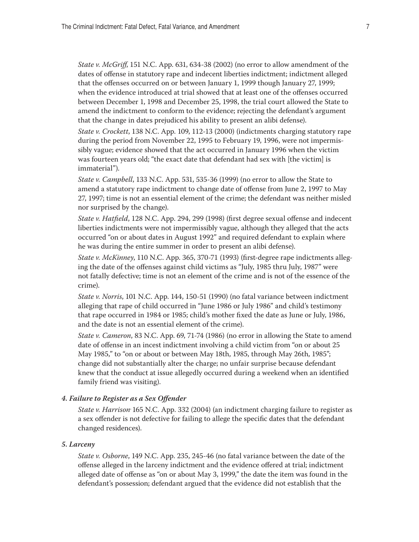<span id="page-6-0"></span>*State v. McGriff*, 151 N.C. App. 631, 634-38 (2002) (no error to allow amendment of the dates of offense in statutory rape and indecent liberties indictment; indictment alleged that the offenses occurred on or between January 1, 1999 though January 27, 1999; when the evidence introduced at trial showed that at least one of the offenses occurred between December 1, 1998 and December 25, 1998, the trial court allowed the State to amend the indictment to conform to the evidence; rejecting the defendant's argument that the change in dates prejudiced his ability to present an alibi defense).

*State v. Crockett*, 138 N.C. App. 109, 112-13 (2000) (indictments charging statutory rape during the period from November 22, 1995 to February 19, 1996, were not impermissibly vague; evidence showed that the act occurred in January 1996 when the victim was fourteen years old; "the exact date that defendant had sex with [the victim] is immaterial").

*State v. Campbell*, 133 N.C. App. 531, 535-36 (1999) (no error to allow the State to amend a statutory rape indictment to change date of offense from June 2, 1997 to May 27, 1997; time is not an essential element of the crime; the defendant was neither misled nor surprised by the change).

*State v. Hatfield*, 128 N.C. App. 294, 299 (1998) (first degree sexual offense and indecent liberties indictments were not impermissibly vague, although they alleged that the acts occurred "on or about dates in August 1992" and required defendant to explain where he was during the entire summer in order to present an alibi defense).

*State v. McKinney*, 110 N.C. App. 365, 370-71 (1993) (first-degree rape indictments alleging the date of the offenses against child victims as "July, 1985 thru July, 1987" were not fatally defective; time is not an element of the crime and is not of the essence of the crime).

*State v. Norris*, 101 N.C. App. 144, 150-51 (1990) (no fatal variance between indictment alleging that rape of child occurred in "June 1986 or July 1986" and child's testimony that rape occurred in 1984 or 1985; child's mother fixed the date as June or July, 1986, and the date is not an essential element of the crime).

*State v. Cameron*, 83 N.C. App. 69, 71-74 (1986) (no error in allowing the State to amend date of offense in an incest indictment involving a child victim from "on or about 25 May 1985," to "on or about or between May 18th, 1985, through May 26th, 1985"; change did not substantially alter the charge; no unfair surprise because defendant knew that the conduct at issue allegedly occurred during a weekend when an identified family friend was visiting).

## *4. Failure to Register as a Sex Offender*

*State v. Harrison*, 165 N.C. App. 332 (2004) (an indictment charging failure to register as a sex offender is not defective for failing to allege the specific dates that the defendant changed residences).

#### *5. Larceny*

*State v. Osborne*, 149 N.C. App. 235, 245-46 (no fatal variance between the date of the offense alleged in the larceny indictment and the evidence offered at trial; indictment alleged date of offense as "on or about May 3, 1999," the date the item was found in the defendant's possession; defendant argued that the evidence did not establish that the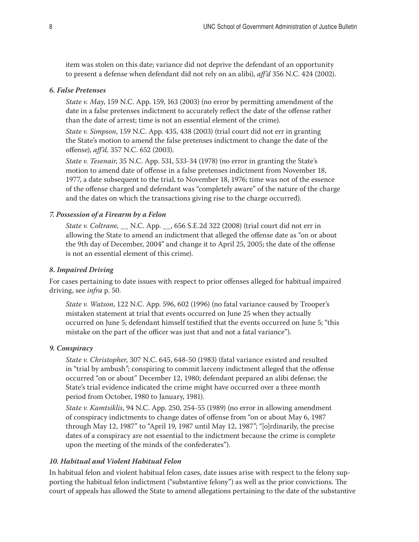<span id="page-7-0"></span>item was stolen on this date; variance did not deprive the defendant of an opportunity to present a defense when defendant did not rely on an alibi), *aff'd* 356 N.C. 424 (2002).

## *6. False Pretenses*

*State v. May*, 159 N.C. App. 159, 163 (2003) (no error by permitting amendment of the date in a false pretenses indictment to accurately reflect the date of the offense rather than the date of arrest; time is not an essential element of the crime)*.*

*State v. Simpson*, 159 N.C. App. 435, 438 (2003) (trial court did not err in granting the State's motion to amend the false pretenses indictment to change the date of the offense), *aff'd,* 357 N.C. 652 (2003).

*State v. Tesenair*, 35 N.C. App. 531, 533-34 (1978) (no error in granting the State's motion to amend date of offense in a false pretenses indictment from November 18, 1977, a date subsequent to the trial, to November 18, 1976; time was not of the essence of the offense charged and defendant was "completely aware" of the nature of the charge and the dates on which the transactions giving rise to the charge occurred).

## *7. Possession of a Firearm by a Felon*

*State v. Coltrane,* \_\_ N.C. App. \_\_, 656 S.E.2d 322 (2008) (trial court did not err in allowing the State to amend an indictment that alleged the offense date as "on or about the 9th day of December, 2004" and change it to April 25, 2005; the date of the offense is not an essential element of this crime).

### *8. Impaired Driving*

For cases pertaining to date issues with respect to prior offenses alleged for habitual impaired driving, see *infra* p. 50.

*State v. Watson*, 122 N.C. App. 596, 602 (1996) (no fatal variance caused by Trooper's mistaken statement at trial that events occurred on June 25 when they actually occurred on June 5; defendant himself testified that the events occurred on June 5; "this mistake on the part of the officer was just that and not a fatal variance").

#### *9. Conspiracy*

*State v. Christopher*, 307 N.C. 645, 648-50 (1983) (fatal variance existed and resulted in "trial by ambush"; conspiring to commit larceny indictment alleged that the offense occurred "on or about" December 12, 1980; defendant prepared an alibi defense; the State's trial evidence indicated the crime might have occurred over a three month period from October, 1980 to January, 1981).

*State v. Kamtsiklis*, 94 N.C. App. 250, 254-55 (1989) (no error in allowing amendment of conspiracy indictments to change dates of offense from "on or about May 6, 1987 through May 12, 1987" to "April 19, 1987 until May 12, 1987"; "[o]rdinarily, the precise dates of a conspiracy are not essential to the indictment because the crime is complete upon the meeting of the minds of the confederates").

## *10. Habitual and Violent Habitual Felon*

In habitual felon and violent habitual felon cases, date issues arise with respect to the felony supporting the habitual felon indictment ("substantive felony") as well as the prior convictions. The court of appeals has allowed the State to amend allegations pertaining to the date of the substantive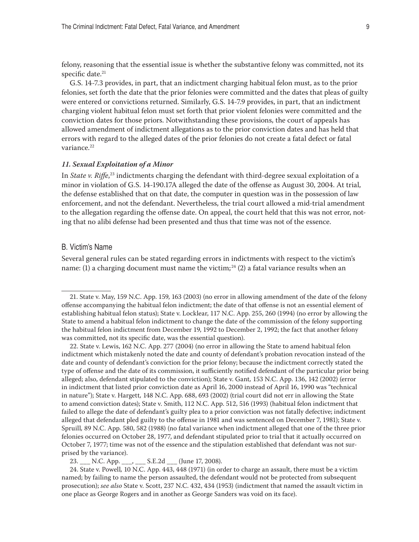<span id="page-8-0"></span>felony, reasoning that the essential issue is whether the substantive felony was committed, not its specific date. $21$ 

G.S. 14-7.3 provides, in part, that an indictment charging habitual felon must, as to the prior felonies, set forth the date that the prior felonies were committed and the dates that pleas of guilty were entered or convictions returned. Similarly, G.S. 14-7.9 provides, in part, that an indictment charging violent habitual felon must set forth that prior violent felonies were committed and the conviction dates for those priors. Notwithstanding these provisions, the court of appeals has allowed amendment of indictment allegations as to the prior conviction dates and has held that errors with regard to the alleged dates of the prior felonies do not create a fatal defect or fatal variance.<sup>22</sup>

#### *11. Sexual Exploitation of a Minor*

In *State v. Riffe*, 23 indictments charging the defendant with third-degree sexual exploitation of a minor in violation of G.S. 14-190.17A alleged the date of the offense as August 30, 2004. At trial, the defense established that on that date, the computer in question was in the possession of law enforcement, and not the defendant. Nevertheless, the trial court allowed a mid-trial amendment to the allegation regarding the offense date. On appeal, the court held that this was not error, noting that no alibi defense had been presented and thus that time was not of the essence.

#### B. Victim's Name

Several general rules can be stated regarding errors in indictments with respect to the victim's name: (1) a charging document must name the victim;<sup>24</sup> (2) a fatal variance results when an

22. State v. Lewis, 162 N.C. App. 277 (2004) (no error in allowing the State to amend habitual felon indictment which mistakenly noted the date and county of defendant's probation revocation instead of the date and county of defendant's conviction for the prior felony; because the indictment correctly stated the type of offense and the date of its commission, it sufficiently notified defendant of the particular prior being alleged; also, defendant stipulated to the conviction); State v. Gant*,* 153 N.C. App. 136, 142 (2002) (error in indictment that listed prior conviction date as April 16, 2000 instead of April 16, 1990 was "technical in nature"); State v. Hargett*,* 148 N.C. App. 688, 693 (2002) (trial court did not err in allowing the State to amend conviction dates); State v. Smith, 112 N.C. App. 512, 516 (1993) (habitual felon indictment that failed to allege the date of defendant's guilty plea to a prior conviction was not fatally defective; indictment alleged that defendant pled guilty to the offense in 1981 and was sentenced on December 7, 1981); State v. Spruill*,* 89 N.C. App. 580, 582 (1988) (no fatal variance when indictment alleged that one of the three prior felonies occurred on October 28, 1977, and defendant stipulated prior to trial that it actually occurred on October 7, 1977; time was not of the essence and the stipulation established that defendant was not surprised by the variance).

23. \_\_\_ N.C. App. \_\_\_, \_\_\_ S.E.2d \_\_\_ (June 17, 2008).

24. State v. Powell*,* 10 N.C. App. 443, 448 (1971) (in order to charge an assault, there must be a victim named; by failing to name the person assaulted, the defendant would not be protected from subsequent prosecution); *see also* State v. Scott, 237 N.C. 432, 434 (1953) (indictment that named the assault victim in one place as George Rogers and in another as George Sanders was void on its face).

<sup>21.</sup> State v. May, 159 N.C. App. 159, 163 (2003) (no error in allowing amendment of the date of the felony offense accompanying the habitual felon indictment; the date of that offense is not an essential element of establishing habitual felon status); State v. Locklear, 117 N.C. App. 255, 260 (1994) (no error by allowing the State to amend a habitual felon indictment to change the date of the commission of the felony supporting the habitual felon indictment from December 19, 1992 to December 2, 1992; the fact that another felony was committed, not its specific date, was the essential question).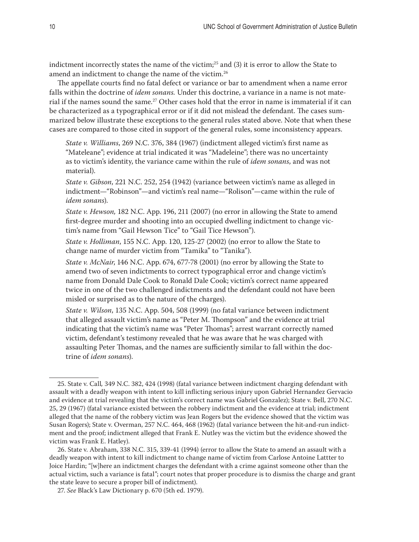indictment incorrectly states the name of the victim;<sup>25</sup> and (3) it is error to allow the State to amend an indictment to change the name of the victim.<sup>26</sup>

The appellate courts find no fatal defect or variance or bar to amendment when a name error falls within the doctrine of *idem sonans.* Under this doctrine, a variance in a name is not material if the names sound the same.<sup>27</sup> Other cases hold that the error in name is immaterial if it can be characterized as a typographical error or if it did not mislead the defendant. The cases summarized below illustrate these exceptions to the general rules stated above. Note that when these cases are compared to those cited in support of the general rules, some inconsistency appears.

*State v. Williams*, 269 N.C. 376, 384 (1967) (indictment alleged victim's first name as "Mateleane"; evidence at trial indicated it was "Madeleine"; there was no uncertainty as to victim's identity, the variance came within the rule of *idem sonans*, and was not material).

*State v. Gibson*, 221 N.C. 252, 254 (1942) (variance between victim's name as alleged in indictment—"Robinson"—and victim's real name—"Rolison"—came within the rule of *idem sonans*).

*State v. Hewson,* 182 N.C. App. 196, 211 (2007) (no error in allowing the State to amend first-degree murder and shooting into an occupied dwelling indictment to change victim's name from "Gail Hewson Tice" to "Gail Tice Hewson").

*State v. Holliman*, 155 N.C. App. 120, 125-27 (2002) (no error to allow the State to change name of murder victim from "Tamika" to "Tanika").

*State v. McNair*, 146 N.C. App. 674, 677-78 (2001) (no error by allowing the State to amend two of seven indictments to correct typographical error and change victim's name from Donald Dale Cook to Ronald Dale Cook; victim's correct name appeared twice in one of the two challenged indictments and the defendant could not have been misled or surprised as to the nature of the charges).

*State v. Wilson*, 135 N.C. App. 504, 508 (1999) (no fatal variance between indictment that alleged assault victim's name as "Peter M. Thompson" and the evidence at trial indicating that the victim's name was "Peter Thomas"; arrest warrant correctly named victim, defendant's testimony revealed that he was aware that he was charged with assaulting Peter Thomas, and the names are sufficiently similar to fall within the doctrine of *idem sonans*).

<sup>25.</sup> State v. Call*,* 349 N.C. 382, 424 (1998) (fatal variance between indictment charging defendant with assault with a deadly weapon with intent to kill inflicting serious injury upon Gabriel Hernandez Gervacio and evidence at trial revealing that the victim's correct name was Gabriel Gonzalez); State v. Bell, 270 N.C. 25, 29 (1967) (fatal variance existed between the robbery indictment and the evidence at trial; indictment alleged that the name of the robbery victim was Jean Rogers but the evidence showed that the victim was Susan Rogers); State v. Overman, 257 N.C. 464, 468 (1962) (fatal variance between the hit-and-run indictment and the proof; indictment alleged that Frank E. Nutley was the victim but the evidence showed the victim was Frank E. Hatley).

<sup>26.</sup> State v. Abraham, 338 N.C. 315, 339-41 (1994) (error to allow the State to amend an assault with a deadly weapon with intent to kill indictment to change name of victim from Carlose Antoine Lattter to Joice Hardin; "[w]here an indictment charges the defendant with a crime against someone other than the actual victim, such a variance is fatal"; court notes that proper procedure is to dismiss the charge and grant the state leave to secure a proper bill of indictment).

<sup>27.</sup> *See* Black's Law Dictionary p. 670 (5th ed. 1979).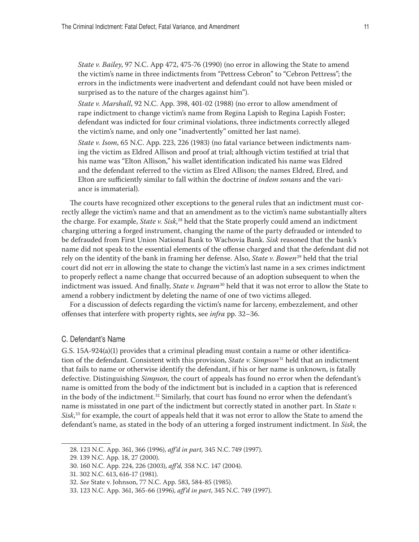<span id="page-10-0"></span>*State v. Bailey*, 97 N.C. App 472, 475-76 (1990) (no error in allowing the State to amend the victim's name in three indictments from "Pettress Cebron" to "Cebron Pettress"; the errors in the indictments were inadvertent and defendant could not have been misled or surprised as to the nature of the charges against him").

*State v. Marshall*, 92 N.C. App. 398, 401-02 (1988) (no error to allow amendment of rape indictment to change victim's name from Regina Lapish to Regina Lapish Foster; defendant was indicted for four criminal violations, three indictments correctly alleged the victim's name, and only one "inadvertently" omitted her last name).

*State v. Isom*, 65 N.C. App. 223, 226 (1983) (no fatal variance between indictments naming the victim as Eldred Allison and proof at trial; although victim testified at trial that his name was "Elton Allison," his wallet identification indicated his name was Eldred and the defendant referred to the victim as Elred Allison; the names Eldred, Elred, and Elton are sufficiently similar to fall within the doctrine of *indem sonans* and the variance is immaterial).

The courts have recognized other exceptions to the general rules that an indictment must correctly allege the victim's name and that an amendment as to the victim's name substantially alters the charge. For example, *State v. Sisk*, 28 held that the State properly could amend an indictment charging uttering a forged instrument, changing the name of the party defrauded or intended to be defrauded from First Union National Bank to Wachovia Bank. *Sisk* reasoned that the bank's name did not speak to the essential elements of the offense charged and that the defendant did not rely on the identity of the bank in framing her defense. Also, *State v. Bowen*29 held that the trial court did not err in allowing the state to change the victim's last name in a sex crimes indictment to properly reflect a name change that occurred because of an adoption subsequent to when the indictment was issued. And finally, *State v. Ingram*<sup>30</sup> held that it was not error to allow the State to amend a robbery indictment by deleting the name of one of two victims alleged.

For a discussion of defects regarding the victim's name for larceny, embezzlement, and other offenses that interfere with property rights, see *infra* pp. 32–36.

#### C. Defendant's Name

G.S. 15A-924(a)(1) provides that a criminal pleading must contain a name or other identification of the defendant. Consistent with this provision, *State v. Simpson*<sup>31</sup> held that an indictment that fails to name or otherwise identify the defendant, if his or her name is unknown, is fatally defective. Distinguishing *Simpson,* the court of appeals has found no error when the defendant's name is omitted from the body of the indictment but is included in a caption that is referenced in the body of the indictment. $32$  Similarly, that court has found no error when the defendant's name is misstated in one part of the indictment but correctly stated in another part. In *State v. Sisk*, 33 for example, the court of appeals held that it was not error to allow the State to amend the defendant's name, as stated in the body of an uttering a forged instrument indictment. In *Sisk*, the

<sup>28. 123</sup> N.C. App. 361, 366 (1996), *aff'd in part,* 345 N.C. 749 (1997).

<sup>29. 139</sup> N.C. App. 18, 27 (2000).

<sup>30. 160</sup> N.C. App. 224, 226 (2003), *aff'd,* 358 N.C. 147 (2004).

<sup>31. 302</sup> N.C. 613, 616-17 (1981).

<sup>32.</sup> *See* State v. Johnson, 77 N.C. App. 583, 584-85 (1985).

<sup>33. 123</sup> N.C. App. 361, 365-66 (1996), *aff'd in part*, 345 N.C. 749 (1997).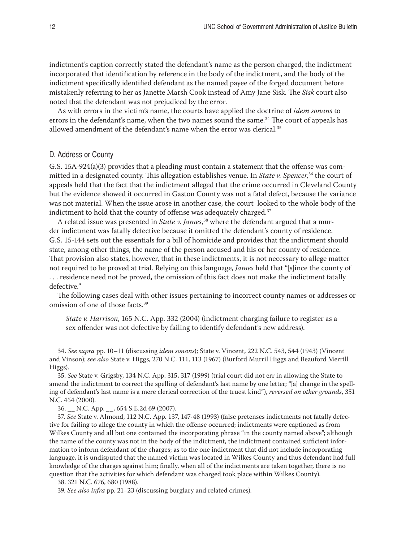<span id="page-11-0"></span>indictment's caption correctly stated the defendant's name as the person charged, the indictment incorporated that identification by reference in the body of the indictment, and the body of the indictment specifically identified defendant as the named payee of the forged document before mistakenly referring to her as Janette Marsh Cook instead of Amy Jane Sisk. The *Sisk* court also noted that the defendant was not prejudiced by the error.

As with errors in the victim's name, the courts have applied the doctrine of *idem sonans* to errors in the defendant's name, when the two names sound the same.<sup>34</sup> The court of appeals has allowed amendment of the defendant's name when the error was clerical.<sup>35</sup>

# D. Address or County

G.S. 15A-924(a)(3) provides that a pleading must contain a statement that the offense was committed in a designated county. This allegation establishes venue. In *State v. Spencer*, 36 the court of appeals held that the fact that the indictment alleged that the crime occurred in Cleveland County but the evidence showed it occurred in Gaston County was not a fatal defect, because the variance was not material. When the issue arose in another case, the court looked to the whole body of the indictment to hold that the county of offense was adequately charged.<sup>37</sup>

A related issue was presented in *State v. James*, 38 where the defendant argued that a murder indictment was fatally defective because it omitted the defendant's county of residence. G.S. 15-144 sets out the essentials for a bill of homicide and provides that the indictment should state, among other things, the name of the person accused and his or her county of residence. That provision also states, however, that in these indictments, it is not necessary to allege matter not required to be proved at trial. Relying on this language, *James* held that "[s]ince the county of . . . residence need not be proved, the omission of this fact does not make the indictment fatally defective."

The following cases deal with other issues pertaining to incorrect county names or addresses or omission of one of those facts.39

*State v. Harrison*, 165 N.C. App. 332 (2004) (indictment charging failure to register as a sex offender was not defective by failing to identify defendant's new address).

<sup>34.</sup> *See supra* pp. 10–11 (discussing *idem sonans*); State v. Vincent, 222 N.C. 543, 544 (1943) (Vincent and Vinson); *see also* State v. Higgs, 270 N.C. 111, 113 (1967) (Burford Murril Higgs and Beauford Merrill Higgs).

<sup>35.</sup> *See* State v. Grigsby, 134 N.C. App. 315, 317 (1999) (trial court did not err in allowing the State to amend the indictment to correct the spelling of defendant's last name by one letter; "[a] change in the spelling of defendant's last name is a mere clerical correction of the truest kind"), *reversed on other grounds*, 351 N.C. 454 (2000).

<sup>36.</sup> \_\_ N.C. App. \_\_, 654 S.E.2d 69 (2007).

<sup>37.</sup> *See* State v. Almond, 112 N.C. App. 137, 147-48 (1993) (false pretenses indictments not fatally defective for failing to allege the county in which the offense occurred; indictments were captioned as from Wilkes County and all but one contained the incorporating phrase "in the county named above"; although the name of the county was not in the body of the indictment, the indictment contained sufficient information to inform defendant of the charges; as to the one indictment that did not include incorporating language, it is undisputed that the named victim was located in Wilkes County and thus defendant had full knowledge of the charges against him; finally, when all of the indictments are taken together, there is no question that the activities for which defendant was charged took place within Wilkes County).

<sup>38. 321</sup> N.C. 676, 680 (1988).

<sup>39.</sup> *See also infra* pp. 21–23 (discussing burglary and related crimes).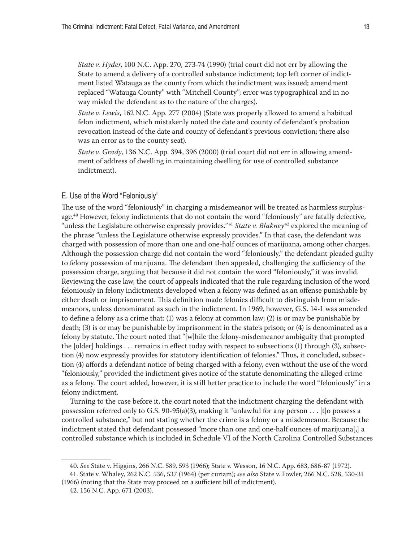<span id="page-12-0"></span>*State v. Hyder*, 100 N.C. App. 270, 273-74 (1990) (trial court did not err by allowing the State to amend a delivery of a controlled substance indictment; top left corner of indictment listed Watauga as the county from which the indictment was issued; amendment replaced "Watauga County" with "Mitchell County"; error was typographical and in no way misled the defendant as to the nature of the charges).

*State v. Lewis*, 162 N.C. App. 277 (2004) (State was properly allowed to amend a habitual felon indictment, which mistakenly noted the date and county of defendant's probation revocation instead of the date and county of defendant's previous conviction; there also was an error as to the county seat).

*State v. Grady*, 136 N.C. App. 394, 396 (2000) (trial court did not err in allowing amendment of address of dwelling in maintaining dwelling for use of controlled substance indictment).

#### E. Use of the Word "Feloniously"

The use of the word "feloniously" in charging a misdemeanor will be treated as harmless surplusage.40 However, felony indictments that do not contain the word "feloniously" are fatally defective, "unless the Legislature otherwise expressly provides." <sup>41</sup> *State v. Blakney* 42 explored the meaning of the phrase "unless the Legislature otherwise expressly provides." In that case, the defendant was charged with possession of more than one and one-half ounces of marijuana, among other charges. Although the possession charge did not contain the word "feloniously," the defendant pleaded guilty to felony possession of marijuana. The defendant then appealed, challenging the sufficiency of the possession charge, arguing that because it did not contain the word "feloniously," it was invalid. Reviewing the case law, the court of appeals indicated that the rule regarding inclusion of the word feloniously in felony indictments developed when a felony was defined as an offense punishable by either death or imprisonment. This definition made felonies difficult to distinguish from misdemeanors, unless denominated as such in the indictment. In 1969, however, G.S. 14-1 was amended to define a felony as a crime that: (1) was a felony at common law; (2) is or may be punishable by death; (3) is or may be punishable by imprisonment in the state's prison; or (4) is denominated as a felony by statute. The court noted that "[w]hile the felony-misdemeanor ambiguity that prompted the [older] holdings . . . remains in effect today with respect to subsections (1) through (3), subsection (4) now expressly provides for statutory identification of felonies." Thus, it concluded, subsection (4) affords a defendant notice of being charged with a felony, even without the use of the word "feloniously," provided the indictment gives notice of the statute denominating the alleged crime as a felony. The court added, however, it is still better practice to include the word "feloniously" in a felony indictment.

Turning to the case before it, the court noted that the indictment charging the defendant with possession referred only to G.S. 90-95(a)(3), making it "unlawful for any person . . . [t]o possess a controlled substance," but not stating whether the crime is a felony or a misdemeanor. Because the indictment stated that defendant possessed "more than one and one-half ounces of marijuana[,] a controlled substance which is included in Schedule VI of the North Carolina Controlled Substances

41. State v. Whaley, 262 N.C. 536, 537 (1964) (per curiam); *see also* State v. Fowler, 266 N.C. 528, 530-31 (1966) (noting that the State may proceed on a sufficient bill of indictment).

<sup>40.</sup> *See* State v. Higgins, 266 N.C. 589, 593 (1966); State v. Wesson, 16 N.C. App. 683, 686-87 (1972).

<sup>42. 156</sup> N.C. App. 671 (2003).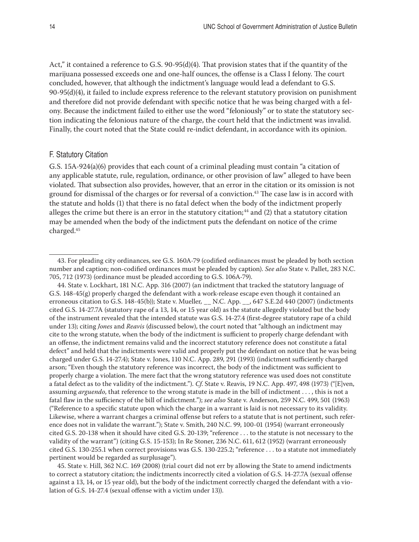<span id="page-13-0"></span>Act," it contained a reference to G.S. 90-95(d)(4). That provision states that if the quantity of the marijuana possessed exceeds one and one-half ounces, the offense is a Class I felony. The court concluded, however, that although the indictment's language would lead a defendant to G.S. 90-95(d)(4), it failed to include express reference to the relevant statutory provision on punishment and therefore did not provide defendant with specific notice that he was being charged with a felony. Because the indictment failed to either use the word "feloniously" or to state the statutory section indicating the felonious nature of the charge, the court held that the indictment was invalid. Finally, the court noted that the State could re-indict defendant, in accordance with its opinion.

#### F. Statutory Citation

G.S. 15A-924(a)(6) provides that each count of a criminal pleading must contain "a citation of any applicable statute, rule, regulation, ordinance, or other provision of law" alleged to have been violated. That subsection also provides, however, that an error in the citation or its omission is not ground for dismissal of the charges or for reversal of a conviction.<sup>43</sup> The case law is in accord with the statute and holds (1) that there is no fatal defect when the body of the indictment properly alleges the crime but there is an error in the statutory citation;<sup>44</sup> and  $(2)$  that a statutory citation may be amended when the body of the indictment puts the defendant on notice of the crime charged.45

45. State v. Hill, 362 N.C. 169 (2008) (trial court did not err by allowing the State to amend indictments to correct a statutory citation; the indictments incorrectly cited a violation of G.S. 14-27.7A (sexual offense against a 13, 14, or 15 year old), but the body of the indictment correctly charged the defendant with a violation of G.S. 14-27.4 (sexual offense with a victim under 13)).

<sup>43.</sup> For pleading city ordinances, see G.S. 160A-79 (codified ordinances must be pleaded by both section number and caption; non-codified ordinances must be pleaded by caption). *See also* State v. Pallet, 283 N.C. 705, 712 (1973) (ordinance must be pleaded according to G.S. 106A-79).

<sup>44.</sup> State v. Lockhart, 181 N.C. App. 316 (2007) (an indictment that tracked the statutory language of G.S. 148-45(g) properly charged the defendant with a work-release escape even though it contained an erroneous citation to G.S. 148-45(b)); State v. Mueller*,* \_\_ N.C. App. \_\_, 647 S.E.2d 440 (2007) (indictments cited G.S. 14-27.7A (statutory rape of a 13, 14, or 15 year old) as the statute allegedly violated but the body of the instrument revealed that the intended statute was G.S. 14-27.4 (first-degree statutory rape of a child under 13); citing *Jones* and *Reavis* (discussed below), the court noted that "although an indictment may cite to the wrong statute, when the body of the indictment is sufficient to properly charge defendant with an offense, the indictment remains valid and the incorrect statutory reference does not constitute a fatal defect" and held that the indictments were valid and properly put the defendant on notice that he was being charged under G.S. 14-27.4); State v. Jones, 110 N.C. App. 289, 291 (1993) (indictment sufficiently charged arson; "Even though the statutory reference was incorrect, the body of the indictment was sufficient to properly charge a violation. The mere fact that the wrong statutory reference was used does not constitute a fatal defect as to the validity of the indictment."). *Cf*. State v. Reavis, 19 N.C. App. 497, 498 (1973) ("[E]ven, assuming *arguendo*, that reference to the wrong statute is made in the bill of indictment . . . , this is not a fatal flaw in the sufficiency of the bill of indictment."); *see also* State v. Anderson, 259 N.C. 499, 501 (1963) ("Reference to a specific statute upon which the charge in a warrant is laid is not necessary to its validity. Likewise, where a warrant charges a criminal offense but refers to a statute that is not pertinent, such reference does not in validate the warrant."); State v. Smith, 240 N.C. 99, 100-01 (1954) (warrant erroneously cited G.S. 20-138 when it should have cited G.S. 20-139; "reference . . . to the statute is not necessary to the validity of the warrant") (citing G.S. 15-153); In Re Stoner, 236 N.C. 611, 612 (1952) (warrant erroneously cited G.S. 130-255.1 when correct provisions was G.S. 130-225.2; "reference . . . to a statute not immediately pertinent would be regarded as surplusage").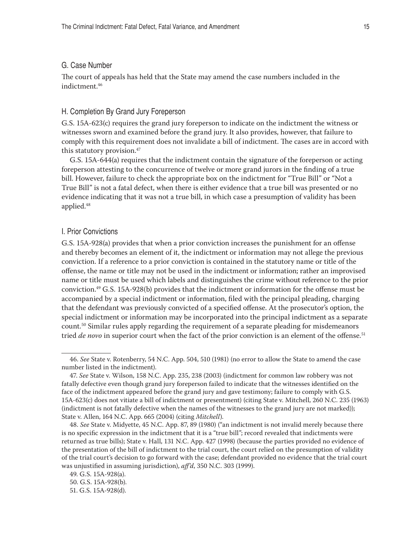### <span id="page-14-0"></span>G. Case Number

The court of appeals has held that the State may amend the case numbers included in the indictment.46

#### H. Completion By Grand Jury Foreperson

G.S. 15A-623(c) requires the grand jury foreperson to indicate on the indictment the witness or witnesses sworn and examined before the grand jury. It also provides, however, that failure to comply with this requirement does not invalidate a bill of indictment. The cases are in accord with this statutory provision.<sup>47</sup>

G.S. 15A-644(a) requires that the indictment contain the signature of the foreperson or acting foreperson attesting to the concurrence of twelve or more grand jurors in the finding of a true bill. However, failure to check the appropriate box on the indictment for "True Bill" or "Not a True Bill" is not a fatal defect, when there is either evidence that a true bill was presented or no evidence indicating that it was not a true bill, in which case a presumption of validity has been applied.48

#### I. Prior Convictions

G.S. 15A-928(a) provides that when a prior conviction increases the punishment for an offense and thereby becomes an element of it, the indictment or information may not allege the previous conviction. If a reference to a prior conviction is contained in the statutory name or title of the offense, the name or title may not be used in the indictment or information; rather an improvised name or title must be used which labels and distinguishes the crime without reference to the prior conviction.49 G.S. 15A-928(b) provides that the indictment or information for the offense must be accompanied by a special indictment or information, filed with the principal pleading, charging that the defendant was previously convicted of a specified offense. At the prosecutor's option, the special indictment or information may be incorporated into the principal indictment as a separate count.50 Similar rules apply regarding the requirement of a separate pleading for misdemeanors tried *de novo* in superior court when the fact of the prior conviction is an element of the offense.<sup>51</sup>

<sup>46.</sup> *See* State v. Rotenberry, 54 N.C. App. 504, 510 (1981) (no error to allow the State to amend the case number listed in the indictment).

<sup>47.</sup> *See* State v. Wilson, 158 N.C. App. 235, 238 (2003) (indictment for common law robbery was not fatally defective even though grand jury foreperson failed to indicate that the witnesses identified on the face of the indictment appeared before the grand jury and gave testimony; failure to comply with G.S. 15A-623(c) does not vitiate a bill of indictment or presentment) (citing State v. Mitchell, 260 N.C. 235 (1963) (indictment is not fatally defective when the names of the witnesses to the grand jury are not marked)); State v. Allen, 164 N.C. App. 665 (2004) (citing *Mitchell*).

<sup>48.</sup> *See* State v. Midyette, 45 N.C. App. 87, 89 (1980) ("an indictment is not invalid merely because there is no specific expression in the indictment that it is a "true bill"; record revealed that indictments were returned as true bills); State v. Hall, 131 N.C. App. 427 (1998) (because the parties provided no evidence of the presentation of the bill of indictment to the trial court, the court relied on the presumption of validity of the trial court's decision to go forward with the case; defendant provided no evidence that the trial court was unjustified in assuming jurisdiction), *aff'd*, 350 N.C. 303 (1999).

<sup>49.</sup> G.S. 15A-928(a). 50. G.S. 15A-928(b).

<sup>51.</sup> G.S. 15A-928(d).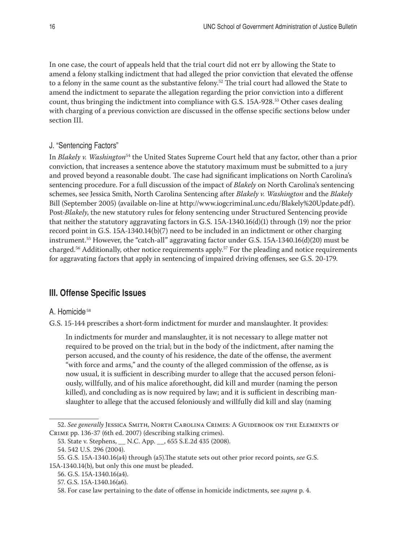<span id="page-15-0"></span>In one case, the court of appeals held that the trial court did not err by allowing the State to amend a felony stalking indictment that had alleged the prior conviction that elevated the offense to a felony in the same count as the substantive felony.<sup>52</sup> The trial court had allowed the State to amend the indictment to separate the allegation regarding the prior conviction into a different count, thus bringing the indictment into compliance with G.S. 15A-928.<sup>53</sup> Other cases dealing with charging of a previous conviction are discussed in the offense specific sections below under section III.

# J. "Sentencing Factors"

In *Blakely v. Washington*54 the United States Supreme Court held that any factor, other than a prior conviction, that increases a sentence above the statutory maximum must be submitted to a jury and proved beyond a reasonable doubt. The case had significant implications on North Carolina's sentencing procedure. For a full discussion of the impact of *Blakely* on North Carolina's sentencing schemes, see Jessica Smith, North Carolina Sentencing after *Blakely v. Washington* and the *Blakely* Bill (September 2005) (available on-line at http://www.iogcriminal.unc.edu/Blakely%20Update.pdf). Post-*Blakely*, the new statutory rules for felony sentencing under Structured Sentencing provide that neither the statutory aggravating factors in G.S. 15A-1340.16(d)(1) through (19) nor the prior record point in G.S. 15A-1340.14(b)(7) need to be included in an indictment or other charging instrument.<sup>55</sup> However, the "catch-all" aggravating factor under G.S. 15A-1340.16(d)(20) must be charged.56 Additionally, other notice requirements apply.57 For the pleading and notice requirements for aggravating factors that apply in sentencing of impaired driving offenses, see G.S. 20-179.

# **III. Offense Specific Issues**

#### A. Homicide<sup>58</sup>

G.S. 15-144 prescribes a short-form indictment for murder and manslaughter. It provides:

In indictments for murder and manslaughter, it is not necessary to allege matter not required to be proved on the trial; but in the body of the indictment, after naming the person accused, and the county of his residence, the date of the offense, the averment "with force and arms," and the county of the alleged commission of the offense, as is now usual, it is sufficient in describing murder to allege that the accused person feloniously, willfully, and of his malice aforethought, did kill and murder (naming the person killed), and concluding as is now required by law; and it is sufficient in describing manslaughter to allege that the accused feloniously and willfully did kill and slay (naming

<sup>52.</sup> *See generally* Jessica Smith, North Carolina Crimes: A Guidebook on the Elements of Crime pp. 136-37 (6th ed. 2007) (describing stalking crimes).

<sup>53.</sup> State v. Stephens, \_\_ N.C. App. \_\_, 655 S.E.2d 435 (2008).

<sup>54. 542</sup> U.S. 296 (2004).

<sup>55.</sup> G.S. 15A-1340.16(a4) through (a5).The statute sets out other prior record points, *see* G.S. 15A-1340.14(b), but only this one must be pleaded.

<sup>56.</sup> G.S. 15A-1340.16(a4).

<sup>57.</sup> G.S. 15A-1340.16(a6).

<sup>58.</sup> For case law pertaining to the date of offense in homicide indictments, see *supra* p. 4.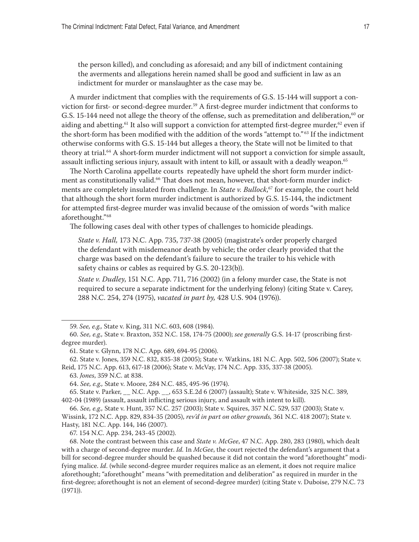<span id="page-16-0"></span>the person killed), and concluding as aforesaid; and any bill of indictment containing the averments and allegations herein named shall be good and sufficient in law as an indictment for murder or manslaughter as the case may be.

A murder indictment that complies with the requirements of G.S. 15-144 will support a conviction for first- or second-degree murder.<sup>59</sup> A first-degree murder indictment that conforms to G.S. 15-144 need not allege the theory of the offense, such as premeditation and deliberation,<sup>60</sup> or aiding and abetting.<sup>61</sup> It also will support a conviction for attempted first-degree murder,<sup>62</sup> even if the short-form has been modified with the addition of the words "attempt to." 63 If the indictment otherwise conforms with G.S. 15-144 but alleges a theory, the State will not be limited to that theory at trial.<sup>64</sup> A short-form murder indictment will not support a conviction for simple assault, assault inflicting serious injury, assault with intent to kill, or assault with a deadly weapon.<sup>65</sup>

The North Carolina appellate courts repeatedly have upheld the short form murder indictment as constitutionally valid.<sup>66</sup> That does not mean, however, that short-form murder indictments are completely insulated from challenge. In *State v. Bullock*, 67 for example, the court held that although the short form murder indictment is authorized by G.S. 15-144, the indictment for attempted first-degree murder was invalid because of the omission of words "with malice aforethought."68

The following cases deal with other types of challenges to homicide pleadings.

*State v. Hall,* 173 N.C. App. 735, 737-38 (2005) (magistrate's order properly charged the defendant with misdemeanor death by vehicle; the order clearly provided that the charge was based on the defendant's failure to secure the trailer to his vehicle with safety chains or cables as required by G.S. 20-123(b)).

*State v. Dudley*, 151 N.C. App. 711, 716 (2002) (in a felony murder case, the State is not required to secure a separate indictment for the underlying felony) (citing State v. Carey, 288 N.C. 254, 274 (1975), *vacated in part by,* 428 U.S. 904 (1976)).

<sup>59.</sup> *See, e.g.,* State v. King, 311 N.C. 603, 608 (1984).

<sup>60.</sup> *See, e.g.,* State v. Braxton, 352 N.C. 158, 174-75 (2000); *see generally* G.S. 14-17 (proscribing firstdegree murder).

<sup>61.</sup> State v. Glynn, 178 N.C. App. 689, 694-95 (2006).

<sup>62.</sup> State v. Jones, 359 N.C. 832, 835-38 (2005); State v. Watkins, 181 N.C. App. 502, 506 (2007); State v. Reid, 175 N.C. App. 613, 617-18 (2006); State v. McVay, 174 N.C. App. 335, 337-38 (2005).

<sup>63.</sup> *Jones*, 359 N.C. at 838.

<sup>64.</sup> *See, e.g.,* State v. Moore, 284 N.C. 485, 495-96 (1974).

<sup>65.</sup> State v. Parker, \_\_ N.C. App. \_\_, 653 S.E.2d 6 (2007) (assault); State v. Whiteside, 325 N.C. 389, 402-04 (1989) (assault, assault inflicting serious injury, and assault with intent to kill).

<sup>66.</sup> *See, e.g.,* State v. Hunt, 357 N.C. 257 (2003); State v. Squires, 357 N.C. 529, 537 (2003); State v. Wissink, 172 N.C. App. 829, 834-35 (2005), *rev'd in part on other grounds,* 361 N.C. 418 2007); State v. Hasty, 181 N.C. App. 144, 146 (2007).

<sup>67. 154</sup> N.C. App. 234, 243-45 (2002).

<sup>68.</sup> Note the contrast between this case and *State v. McGee*, 47 N.C. App. 280, 283 (1980), which dealt with a charge of second-degree murder. *Id.* In *McGee*, the court rejected the defendant's argument that a bill for second-degree murder should be quashed because it did not contain the word "aforethought" modifying malice. *Id*. (while second-degree murder requires malice as an element, it does not require malice aforethought; "aforethought" means "with premeditation and deliberation" as required in murder in the first-degree; aforethought is not an element of second-degree murder) (citing State v. Duboise, 279 N.C. 73 (1971)).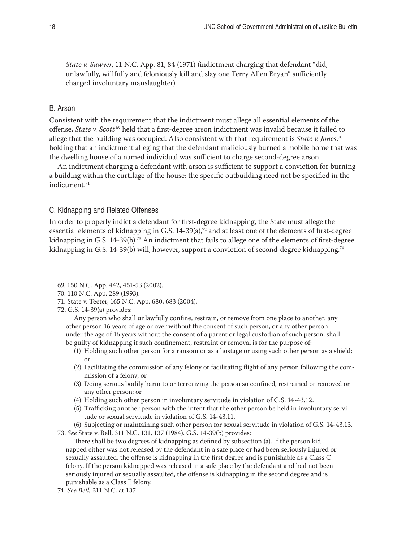<span id="page-17-0"></span>*State v. Sawyer*, 11 N.C. App. 81, 84 (1971) (indictment charging that defendant "did, unlawfully, willfully and feloniously kill and slay one Terry Allen Bryan" sufficiently charged involuntary manslaughter).

# B. Arson

Consistent with the requirement that the indictment must allege all essential elements of the offense, *State v. Scott* 69 held that a first-degree arson indictment was invalid because it failed to allege that the building was occupied. Also consistent with that requirement is *State v. Jones*, 70 holding that an indictment alleging that the defendant maliciously burned a mobile home that was the dwelling house of a named individual was sufficient to charge second-degree arson.

An indictment charging a defendant with arson is sufficient to support a conviction for burning a building within the curtilage of the house; the specific outbuilding need not be specified in the indictment.71

## C. Kidnapping and Related Offenses

In order to properly indict a defendant for first-degree kidnapping, the State must allege the essential elements of kidnapping in G.S. 14-39(a),<sup>72</sup> and at least one of the elements of first-degree kidnapping in G.S. 14-39(b).73 An indictment that fails to allege one of the elements of first-degree kidnapping in G.S. 14-39(b) will, however, support a conviction of second-degree kidnapping.<sup>74</sup>

Any person who shall unlawfully confine, restrain, or remove from one place to another, any other person 16 years of age or over without the consent of such person, or any other person under the age of 16 years without the consent of a parent or legal custodian of such person, shall be guilty of kidnapping if such confinement, restraint or removal is for the purpose of:

- (2) Facilitating the commission of any felony or facilitating flight of any person following the commission of a felony; or
- (3) Doing serious bodily harm to or terrorizing the person so confined, restrained or removed or any other person; or
- (4) Holding such other person in involuntary servitude in violation of G.S. 14-43.12.
- (5) Trafficking another person with the intent that the other person be held in involuntary servitude or sexual servitude in violation of G.S. 14-43.11.

(6) Subjecting or maintaining such other person for sexual servitude in violation of G.S. 14-43.13. 73. *See* State v. Bell, 311 N.C. 131, 137 (1984). G.S. 14-39(b) provides:

There shall be two degrees of kidnapping as defined by subsection (a). If the person kidnapped either was not released by the defendant in a safe place or had been seriously injured or sexually assaulted, the offense is kidnapping in the first degree and is punishable as a Class C felony. If the person kidnapped was released in a safe place by the defendant and had not been seriously injured or sexually assaulted, the offense is kidnapping in the second degree and is punishable as a Class E felony.

<sup>69. 150</sup> N.C. App. 442, 451-53 (2002).

<sup>70. 110</sup> N.C. App. 289 (1993).

<sup>71.</sup> State v. Teeter, 165 N.C. App. 680, 683 (2004).

<sup>72.</sup> G.S. 14-39(a) provides:

<sup>(1)</sup> Holding such other person for a ransom or as a hostage or using such other person as a shield; or

<sup>74.</sup> *See Bell,* 311 N.C. at 137.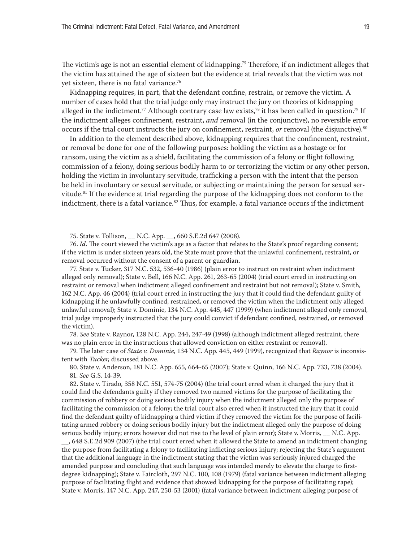<span id="page-18-0"></span>The victim's age is not an essential element of kidnapping.<sup>75</sup> Therefore, if an indictment alleges that the victim has attained the age of sixteen but the evidence at trial reveals that the victim was not yet sixteen, there is no fatal variance.<sup>76</sup>

Kidnapping requires, in part, that the defendant confine, restrain, or remove the victim. A number of cases hold that the trial judge only may instruct the jury on theories of kidnapping alleged in the indictment.<sup>77</sup> Although contrary case law exists,<sup>78</sup> it has been called in question.<sup>79</sup> If the indictment alleges confinement, restraint, *and* removal (in the conjunctive), no reversible error occurs if the trial court instructs the jury on confinement, restraint, *or* removal (the disjunctive).80

In addition to the element described above, kidnapping requires that the confinement, restraint, or removal be done for one of the following purposes: holding the victim as a hostage or for ransom, using the victim as a shield, facilitating the commission of a felony or flight following commission of a felony, doing serious bodily harm to or terrorizing the victim or any other person, holding the victim in involuntary servitude, trafficking a person with the intent that the person be held in involuntary or sexual servitude, or subjecting or maintaining the person for sexual servitude.<sup>81</sup> If the evidence at trial regarding the purpose of the kidnapping does not conform to the indictment, there is a fatal variance.<sup>82</sup> Thus, for example, a fatal variance occurs if the indictment

75. State v. Tollison, \_\_ N.C. App. \_\_, 660 S.E.2d 647 (2008).

76. *Id*. The court viewed the victim's age as a factor that relates to the State's proof regarding consent; if the victim is under sixteen years old, the State must prove that the unlawful confinement, restraint, or removal occurred without the consent of a parent or guardian.

77. State v. Tucker, 317 N.C. 532, 536-40 (1986) (plain error to instruct on restraint when indictment alleged only removal); State v. Bell, 166 N.C. App. 261, 263-65 (2004) (trial court erred in instructing on restraint or removal when indictment alleged confinement and restraint but not removal); State v. Smith*,* 162 N.C. App. 46 (2004) (trial court erred in instructing the jury that it could find the defendant guilty of kidnapping if he unlawfully confined, restrained, or removed the victim when the indictment only alleged unlawful removal); State v. Dominie, 134 N.C. App. 445, 447 (1999) (when indictment alleged only removal, trial judge improperly instructed that the jury could convict if defendant confined, restrained, or removed the victim).

78. *See* State v. Raynor, 128 N.C. App. 244, 247-49 (1998) (although indictment alleged restraint, there was no plain error in the instructions that allowed conviction on either restraint or removal).

79. The later case of *State v. Dominie*, 134 N.C. App. 445, 449 (1999), recognized that *Raynor* is inconsistent with *Tucker,* discussed above.

80. State v. Anderson, 181 N.C. App. 655, 664-65 (2007); State v. Quinn, 166 N.C. App. 733, 738 (2004). 81. *See* G.S. 14-39.

82. State v. Tirado*,* 358 N.C. 551, 574-75 (2004) (the trial court erred when it charged the jury that it could find the defendants guilty if they removed two named victims for the purpose of facilitating the commission of robbery or doing serious bodily injury when the indictment alleged only the purpose of facilitating the commission of a felony; the trial court also erred when it instructed the jury that it could find the defendant guilty of kidnapping a third victim if they removed the victim for the purpose of facilitating armed robbery or doing serious bodily injury but the indictment alleged only the purpose of doing serious bodily injury; errors however did not rise to the level of plain error); State v. Morris*,* \_\_ N.C. App.

\_\_, 648 S.E.2d 909 (2007) (the trial court erred when it allowed the State to amend an indictment changing the purpose from facilitating a felony to facilitating inflicting serious injury; rejecting the State's argument that the additional language in the indictment stating that the victim was seriously injured charged the amended purpose and concluding that such language was intended merely to elevate the charge to firstdegree kidnapping); State v. Faircloth, 297 N.C. 100, 108 (1979) (fatal variance between indictment alleging purpose of facilitating flight and evidence that showed kidnapping for the purpose of facilitating rape); State v. Morris, 147 N.C. App. 247, 250-53 (2001) (fatal variance between indictment alleging purpose of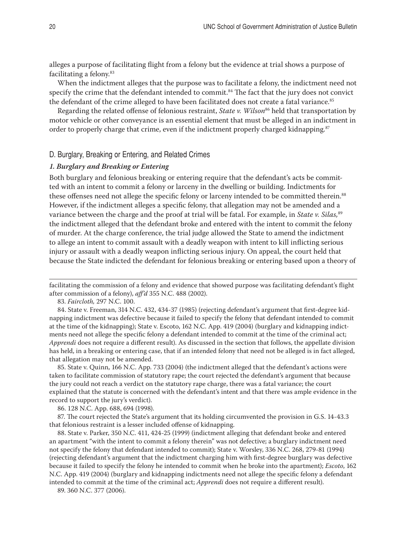alleges a purpose of facilitating flight from a felony but the evidence at trial shows a purpose of facilitating a felony.83

When the indictment alleges that the purpose was to facilitate a felony, the indictment need not specify the crime that the defendant intended to commit.<sup>84</sup> The fact that the jury does not convict the defendant of the crime alleged to have been facilitated does not create a fatal variance.<sup>85</sup>

Regarding the related offense of felonious restraint, *State v. Wilson*<sup>86</sup> held that transportation by motor vehicle or other conveyance is an essential element that must be alleged in an indictment in order to properly charge that crime, even if the indictment properly charged kidnapping.<sup>87</sup>

#### D. Burglary, Breaking or Entering, and Related Crimes

#### *1. Burglary and Breaking or Entering*

Both burglary and felonious breaking or entering require that the defendant's acts be committed with an intent to commit a felony or larceny in the dwelling or building. Indictments for these offenses need not allege the specific felony or larceny intended to be committed therein.<sup>88</sup> However, if the indictment alleges a specific felony, that allegation may not be amended and a variance between the charge and the proof at trial will be fatal. For example, in *State v. Silas,*<sup>89</sup> the indictment alleged that the defendant broke and entered with the intent to commit the felony of murder. At the charge conference, the trial judge allowed the State to amend the indictment to allege an intent to commit assault with a deadly weapon with intent to kill inflicting serious injury or assault with a deadly weapon inflicting serious injury. On appeal, the court held that because the State indicted the defendant for felonious breaking or entering based upon a theory of

85. State v. Quinn, 166 N.C. App. 733 (2004) (the indictment alleged that the defendant's actions were taken to facilitate commission of statutory rape; the court rejected the defendant's argument that because the jury could not reach a verdict on the statutory rape charge, there was a fatal variance; the court explained that the statute is concerned with the defendant's intent and that there was ample evidence in the record to support the jury's verdict).

86. 128 N.C. App. 688, 694 (1998).

87. The court rejected the State's argument that its holding circumvented the provision in G.S. 14-43.3 that felonious restraint is a lesser included offense of kidnapping.

88. State v. Parker, 350 N.C. 411, 424-25 (1999) (indictment alleging that defendant broke and entered an apartment "with the intent to commit a felony therein" was not defective; a burglary indictment need not specify the felony that defendant intended to commit); State v. Worsley, 336 N.C. 268, 279-81 (1994) (rejecting defendant's argument that the indictment charging him with first-degree burglary was defective because it failed to specify the felony he intended to commit when he broke into the apartment); *Escoto*, 162 N.C. App. 419 (2004) (burglary and kidnapping indictments need not allege the specific felony a defendant intended to commit at the time of the criminal act; *Apprendi* does not require a different result).

89. 360 N.C. 377 (2006).

facilitating the commission of a felony and evidence that showed purpose was facilitating defendant's flight after commission of a felony), *aff'd* 355 N.C. 488 (2002).

<sup>83.</sup> *Faircloth,* 297 N.C. 100.

<sup>84.</sup> State v. Freeman, 314 N.C. 432, 434-37 (1985) (rejecting defendant's argument that first-degree kidnapping indictment was defective because it failed to specify the felony that defendant intended to commit at the time of the kidnapping); State v. Escoto, 162 N.C. App. 419 (2004) (burglary and kidnapping indictments need not allege the specific felony a defendant intended to commit at the time of the criminal act; *Apprendi* does not require a different result). As discussed in the section that follows, the appellate division has held, in a breaking or entering case, that if an intended felony that need not be alleged is in fact alleged, that allegation may not be amended.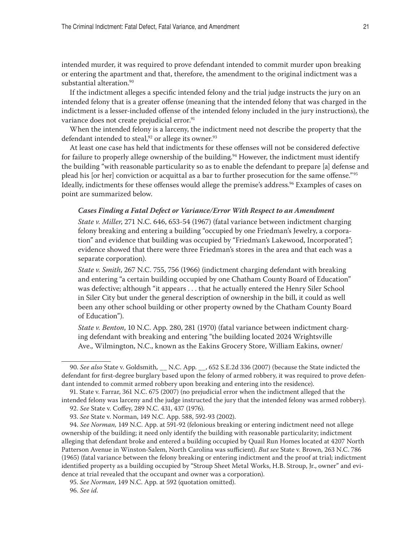<span id="page-20-0"></span>intended murder, it was required to prove defendant intended to commit murder upon breaking or entering the apartment and that, therefore, the amendment to the original indictment was a substantial alteration.<sup>90</sup>

If the indictment alleges a specific intended felony and the trial judge instructs the jury on an intended felony that is a greater offense (meaning that the intended felony that was charged in the indictment is a lesser-included offense of the intended felony included in the jury instructions), the variance does not create prejudicial error.<sup>91</sup>

When the intended felony is a larceny, the indictment need not describe the property that the defendant intended to steal,<sup>92</sup> or allege its owner.<sup>93</sup>

At least one case has held that indictments for these offenses will not be considered defective for failure to properly allege ownership of the building.<sup>94</sup> However, the indictment must identify the building "with reasonable particularity so as to enable the defendant to prepare [a] defense and plead his [or her] conviction or acquittal as a bar to further prosecution for the same offense."<sup>95</sup> Ideally, indictments for these offenses would allege the premise's address.<sup>96</sup> Examples of cases on point are summarized below.

#### *Cases Finding a Fatal Defect or Variance/Error With Respect to an Amendment*

*State v. Miller*, 271 N.C. 646, 653-54 (1967) (fatal variance between indictment charging felony breaking and entering a building "occupied by one Friedman's Jewelry, a corporation" and evidence that building was occupied by "Friedman's Lakewood, Incorporated"; evidence showed that there were three Friedman's stores in the area and that each was a separate corporation).

*State v. Smith*, 267 N.C. 755, 756 (1966) (indictment charging defendant with breaking and entering "a certain building occupied by one Chatham County Board of Education" was defective; although "it appears . . . that he actually entered the Henry Siler School in Siler City but under the general description of ownership in the bill, it could as well been any other school building or other property owned by the Chatham County Board of Education").

*State v. Benton*, 10 N.C. App. 280, 281 (1970) (fatal variance between indictment charging defendant with breaking and entering "the building located 2024 Wrightsville Ave., Wilmington, N.C., known as the Eakins Grocery Store, William Eakins, owner/

<sup>90.</sup> *See also* State v. Goldsmith*,* \_\_ N.C. App. \_\_, 652 S.E.2d 336 (2007) (because the State indicted the defendant for first-degree burglary based upon the felony of armed robbery, it was required to prove defendant intended to commit armed robbery upon breaking and entering into the residence).

<sup>91.</sup> State v. Farrar, 361 N.C. 675 (2007) (no prejudicial error when the indictment alleged that the intended felony was larceny and the judge instructed the jury that the intended felony was armed robbery).

<sup>92.</sup> *See* State v. Coffey, 289 N.C. 431, 437 (1976).

<sup>93.</sup> *See* State v. Norman, 149 N.C. App. 588, 592-93 (2002).

<sup>94.</sup> *See Norman,* 149 N.C. App. at 591-92 (felonious breaking or entering indictment need not allege ownership of the building; it need only identify the building with reasonable particularity; indictment alleging that defendant broke and entered a building occupied by Quail Run Homes located at 4207 North Patterson Avenue in Winston-Salem, North Carolina was sufficient). *But see* State v. Brown, 263 N.C. 786 (1965) (fatal variance between the felony breaking or entering indictment and the proof at trial; indictment identified property as a building occupied by "Stroup Sheet Metal Works, H.B. Stroup, Jr., owner" and evidence at trial revealed that the occupant and owner was a corporation).

<sup>95.</sup> *See Norman*, 149 N.C. App. at 592 (quotation omitted).

<sup>96.</sup> *See id.*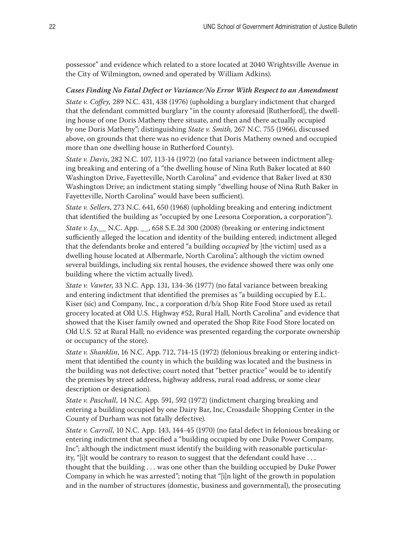possessor" and evidence which related to a store located at 2040 Wrightsville Avenue in the City of Wilmington, owned and operated by William Adkins).

# *Cases Finding No Fatal Defect or Variance/No Error With Respect to an Amendment*

*State v. Coffey,* 289 N.C. 431, 438 (1976) (upholding a burglary indictment that charged that the defendant committed burglary "in the county aforesaid [Rutherford], the dwelling house of one Doris Matheny there situate, and then and there actually occupied by one Doris Matheny"; distinguishing *State v. Smith,* 267 N.C. 755 (1966), discussed above, on grounds that there was no evidence that Doris Matheny owned and occupied more than one dwelling house in Rutherford County).

*State v. Davis*, 282 N.C. 107, 113-14 (1972) (no fatal variance between indictment alleging breaking and entering of a "the dwelling house of Nina Ruth Baker located at 840 Washington Drive, Fayetteville, North Carolina" and evidence that Baker lived at 830 Washington Drive; an indictment stating simply "dwelling house of Nina Ruth Baker in Fayetteville, North Carolina" would have been sufficient).

*State v. Sellers*, 273 N.C. 641, 650 (1968) (upholding breaking and entering indictment that identified the building as "occupied by one Leesona Corporation, a corporation").

*State v. Ly*,\_\_ N.C. App. \_\_, 658 S.E.2d 300 (2008) (breaking or entering indictment sufficiently alleged the location and identity of the building entered; indictment alleged that the defendants broke and entered "a building *occupied* by [the victim] used as a dwelling house located at Albermarle, North Carolina"; although the victim owned several buildings, including six rental houses, the evidence showed there was only one building where the victim actually lived).

*State v. Vawter*, 33 N.C. App. 131, 134-36 (1977) (no fatal variance between breaking and entering indictment that identified the premises as "a building occupied by E.L. Kiser (sic) and Company, Inc., a corporation d/b/a Shop Rite Food Store used as retail grocery located at Old U.S. Highway #52, Rural Hall, North Carolina" and evidence that showed that the Kiser family owned and operated the Shop Rite Food Store located on Old U.S. 52 at Rural Hall; no evidence was presented regarding the corporate ownership or occupancy of the store).

*State v. Shanklin*, 16 N.C. App. 712, 714-15 (1972) (felonious breaking or entering indictment that identified the county in which the building was located and the business in the building was not defective; court noted that "better practice" would be to identify the premises by street address, highway address, rural road address, or some clear description or designation).

*State v. Paschall*, 14 N.C. App. 591, 592 (1972) (indictment charging breaking and entering a building occupied by one Dairy Bar, Inc, Croasdaile Shopping Center in the County of Durham was not fatally defective).

*State v. Carroll*, 10 N.C. App. 143, 144-45 (1970) (no fatal defect in felonious breaking or entering indictment that specified a "building occupied by one Duke Power Company, Inc"; although the indictment must identify the building with reasonable particularity, "[i]t would be contrary to reason to suggest that the defendant could have . . . thought that the building . . . was one other than the building occupied by Duke Power Company in which he was arrested"; noting that "[i]n light of the growth in population and in the number of structures (domestic, business and governmental), the prosecuting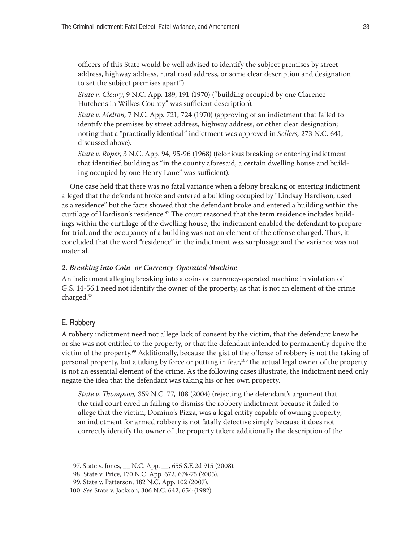officers of this State would be well advised to identify the subject premises by street address, highway address, rural road address, or some clear description and designation to set the subject premises apart").

*State v. Cleary*, 9 N.C. App. 189, 191 (1970) ("building occupied by one Clarence Hutchens in Wilkes County" was sufficient description).

*State v. Melton,* 7 N.C. App. 721, 724 (1970) (approving of an indictment that failed to identify the premises by street address, highway address, or other clear designation; noting that a "practically identical" indictment was approved in *Sellers,* 273 N.C. 641, discussed above).

*State v. Roper*, 3 N.C. App. 94, 95-96 (1968) (felonious breaking or entering indictment that identified building as "in the county aforesaid, a certain dwelling house and building occupied by one Henry Lane" was sufficient).

One case held that there was no fatal variance when a felony breaking or entering indictment alleged that the defendant broke and entered a building occupied by "Lindsay Hardison, used as a residence" but the facts showed that the defendant broke and entered a building within the curtilage of Hardison's residence.<sup>97</sup> The court reasoned that the term residence includes buildings within the curtilage of the dwelling house, the indictment enabled the defendant to prepare for trial, and the occupancy of a building was not an element of the offense charged. Thus, it concluded that the word "residence" in the indictment was surplusage and the variance was not material.

#### *2. Breaking into Coin- or Currency-Operated Machine*

An indictment alleging breaking into a coin- or currency-operated machine in violation of G.S. 14-56.1 need not identify the owner of the property, as that is not an element of the crime charged.98

#### E. Robbery

A robbery indictment need not allege lack of consent by the victim, that the defendant knew he or she was not entitled to the property, or that the defendant intended to permanently deprive the victim of the property.99 Additionally, because the gist of the offense of robbery is not the taking of personal property, but a taking by force or putting in fear,<sup>100</sup> the actual legal owner of the property is not an essential element of the crime. As the following cases illustrate, the indictment need only negate the idea that the defendant was taking his or her own property.

*State v. Thompson,* 359 N.C. 77, 108 (2004) (rejecting the defendant's argument that the trial court erred in failing to dismiss the robbery indictment because it failed to allege that the victim, Domino's Pizza, was a legal entity capable of owning property; an indictment for armed robbery is not fatally defective simply because it does not correctly identify the owner of the property taken; additionally the description of the

<sup>97.</sup> State v. Jones, \_\_ N.C. App. \_\_, 655 S.E.2d 915 (2008).

<sup>98.</sup> State v. Price, 170 N.C. App. 672, 674-75 (2005).

<sup>99.</sup> State v. Patterson, 182 N.C. App. 102 (2007).

<sup>100.</sup> *See* State v. Jackson, 306 N.C. 642, 654 (1982).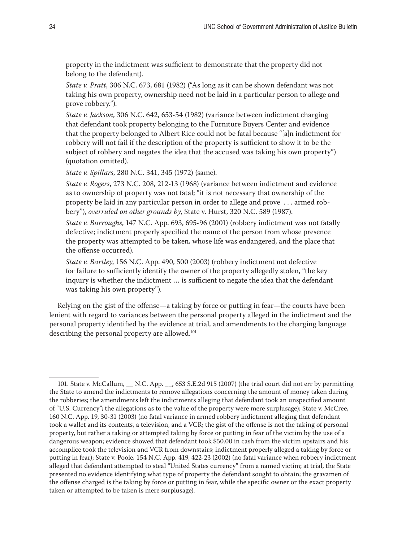<span id="page-23-0"></span>property in the indictment was sufficient to demonstrate that the property did not belong to the defendant).

*State v. Pratt*, 306 N.C. 673, 681 (1982) ("As long as it can be shown defendant was not taking his own property, ownership need not be laid in a particular person to allege and prove robbery.").

*State v. Jackson*, 306 N.C. 642, 653-54 (1982) (variance between indictment charging that defendant took property belonging to the Furniture Buyers Center and evidence that the property belonged to Albert Rice could not be fatal because "[a]n indictment for robbery will not fail if the description of the property is sufficient to show it to be the subject of robbery and negates the idea that the accused was taking his own property") (quotation omitted).

*State v. Spillars*, 280 N.C. 341, 345 (1972) (same).

*State v. Rogers*, 273 N.C. 208, 212-13 (1968) (variance between indictment and evidence as to ownership of property was not fatal; "it is not necessary that ownership of the property be laid in any particular person in order to allege and prove . . . armed robbery"), *overruled on other grounds by*, State v. Hurst, 320 N.C. 589 (1987).

*State v. Burroughs*, 147 N.C. App. 693, 695-96 (2001) (robbery indictment was not fatally defective; indictment properly specified the name of the person from whose presence the property was attempted to be taken, whose life was endangered, and the place that the offense occurred).

*State v. Bartley*, 156 N.C. App. 490, 500 (2003) (robbery indictment not defective for failure to sufficiently identify the owner of the property allegedly stolen, "the key inquiry is whether the indictment … is sufficient to negate the idea that the defendant was taking his own property").

Relying on the gist of the offense—a taking by force or putting in fear—the courts have been lenient with regard to variances between the personal property alleged in the indictment and the personal property identified by the evidence at trial, and amendments to the charging language describing the personal property are allowed.<sup>101</sup>

<sup>101.</sup> State v. McCallum*,* \_\_ N.C. App. \_\_, 653 S.E.2d 915 (2007) (the trial court did not err by permitting the State to amend the indictments to remove allegations concerning the amount of money taken during the robberies; the amendments left the indictments alleging that defendant took an unspecified amount of "U.S. Currency"; the allegations as to the value of the property were mere surplusage); State v. McCree, 160 N.C. App. 19, 30-31 (2003) (no fatal variance in armed robbery indictment alleging that defendant took a wallet and its contents, a television, and a VCR; the gist of the offense is not the taking of personal property, but rather a taking or attempted taking by force or putting in fear of the victim by the use of a dangerous weapon; evidence showed that defendant took \$50.00 in cash from the victim upstairs and his accomplice took the television and VCR from downstairs; indictment properly alleged a taking by force or putting in fear); State v. Poole*,* 154 N.C. App. 419, 422-23 (2002) (no fatal variance when robbery indictment alleged that defendant attempted to steal "United States currency" from a named victim; at trial, the State presented no evidence identifying what type of property the defendant sought to obtain; the gravamen of the offense charged is the taking by force or putting in fear, while the specific owner or the exact property taken or attempted to be taken is mere surplusage).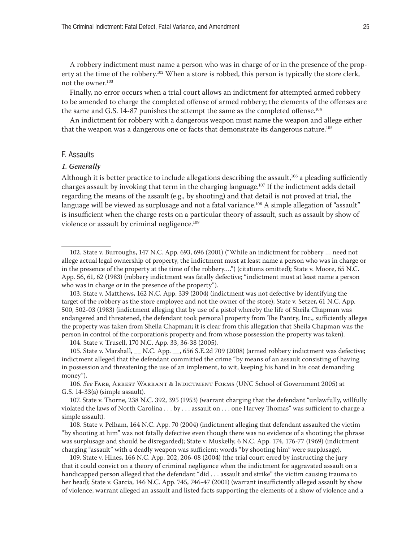A robbery indictment must name a person who was in charge of or in the presence of the property at the time of the robbery.<sup>102</sup> When a store is robbed, this person is typically the store clerk, not the owner.103

Finally, no error occurs when a trial court allows an indictment for attempted armed robbery to be amended to charge the completed offense of armed robbery; the elements of the offenses are the same and G.S. 14-87 punishes the attempt the same as the completed offense.<sup>104</sup>

An indictment for robbery with a dangerous weapon must name the weapon and allege either that the weapon was a dangerous one or facts that demonstrate its dangerous nature.<sup>105</sup>

## F. Assaults

#### *1. Generally*

Although it is better practice to include allegations describing the assault,<sup>106</sup> a pleading sufficiently charges assault by invoking that term in the charging language.107 If the indictment adds detail regarding the means of the assault (e.g., by shooting) and that detail is not proved at trial, the language will be viewed as surplusage and not a fatal variance.<sup>108</sup> A simple allegation of "assault" is insufficient when the charge rests on a particular theory of assault, such as assault by show of violence or assault by criminal negligence.<sup>109</sup>

104. State v. Trusell, 170 N.C. App. 33, 36-38 (2005).

105. State v. Marshall, \_\_ N.C. App. \_\_, 656 S.E.2d 709 (2008) (armed robbery indictment was defective; indictment alleged that the defendant committed the crime "by means of an assault consisting of having in possession and threatening the use of an implement, to wit, keeping his hand in his coat demanding money").

106. *See* Farb, Arrest Warrant & Indictment Forms (UNC School of Government 2005) at G.S. 14-33(a) (simple assault).

107. State v. Thorne, 238 N.C. 392, 395 (1953) (warrant charging that the defendant "unlawfully, willfully violated the laws of North Carolina . . . by . . . assault on . . . one Harvey Thomas" was sufficient to charge a simple assault).

108. State v. Pelham, 164 N.C. App. 70 (2004) (indictment alleging that defendant assaulted the victim "by shooting at him" was not fatally defective even though there was no evidence of a shooting; the phrase was surplusage and should be disregarded); State v. Muskelly, 6 N.C. App. 174, 176-77 (1969) (indictment charging "assault" with a deadly weapon was sufficient; words "by shooting him" were surplusage).

109. State v. Hines, 166 N.C. App. 202, 206-08 (2004) (the trial court erred by instructing the jury that it could convict on a theory of criminal negligence when the indictment for aggravated assault on a handicapped person alleged that the defendant "did . . . assault and strike" the victim causing trauma to her head); State v. Garcia, 146 N.C. App. 745, 746-47 (2001) (warrant insufficiently alleged assault by show of violence; warrant alleged an assault and listed facts supporting the elements of a show of violence and a

<sup>102.</sup> State v. Burroughs, 147 N.C. App. 693, 696 (2001) ("While an indictment for robbery … need not allege actual legal ownership of property, the indictment must at least name a person who was in charge or in the presence of the property at the time of the robbery….") (citations omitted); State v. Moore, 65 N.C. App. 56, 61, 62 (1983) (robbery indictment was fatally defective; "indictment must at least name a person who was in charge or in the presence of the property").

<sup>103.</sup> State v. Matthews, 162 N.C. App. 339 (2004) (indictment was not defective by identifying the target of the robbery as the store employee and not the owner of the store); State v. Setzer, 61 N.C. App. 500, 502-03 (1983) (indictment alleging that by use of a pistol whereby the life of Sheila Chapman was endangered and threatened, the defendant took personal property from The Pantry, Inc., sufficiently alleges the property was taken from Sheila Chapman; it is clear from this allegation that Sheila Chapman was the person in control of the corporation's property and from whose possession the property was taken).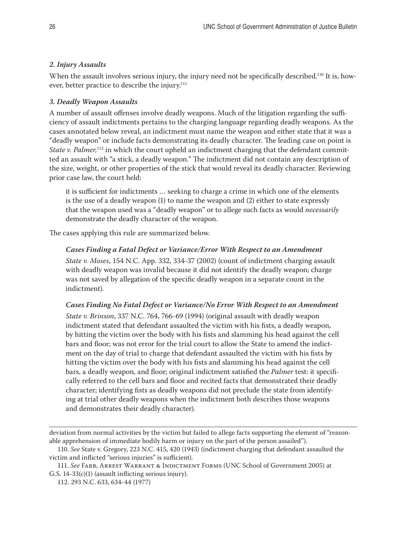# <span id="page-25-0"></span>*2. Injury Assaults*

When the assault involves serious injury, the injury need not be specifically described.<sup>110</sup> It is, however, better practice to describe the injury.<sup>111</sup>

# *3. Deadly Weapon Assaults*

A number of assault offenses involve deadly weapons. Much of the litigation regarding the sufficiency of assault indictments pertains to the charging language regarding deadly weapons. As the cases annotated below reveal, an indictment must name the weapon and either state that it was a "deadly weapon" or include facts demonstrating its deadly character. The leading case on point is *State v. Palmer*,<sup>112</sup> in which the court upheld an indictment charging that the defendant committed an assault with "a stick, a deadly weapon." The indictment did not contain any description of the size, weight, or other properties of the stick that would reveal its deadly character. Reviewing prior case law, the court held:

it is sufficient for indictments … seeking to charge a crime in which one of the elements is the use of a deadly weapon (1) to name the weapon and (2) either to state expressly that the weapon used was a "deadly weapon" or to allege such facts as would *necessarily* demonstrate the deadly character of the weapon.

The cases applying this rule are summarized below.

# *Cases Finding a Fatal Defect or Variance/Error With Respect to an Amendment*

*State v. Moses*, 154 N.C. App. 332, 334-37 (2002) (count of indictment charging assault with deadly weapon was invalid because it did not identify the deadly weapon; charge was not saved by allegation of the specific deadly weapon in a separate count in the indictment).

# *Cases Finding No Fatal Defect or Variance/No Error With Respect to an Amendment*

*State v. Brinson*, 337 N.C. 764, 766-69 (1994) (original assault with deadly weapon indictment stated that defendant assaulted the victim with his fists, a deadly weapon, by hitting the victim over the body with his fists and slamming his head against the cell bars and floor; was not error for the trial court to allow the State to amend the indictment on the day of trial to charge that defendant assaulted the victim with his fists by hitting the victim over the body with his fists and slamming his head against the cell bars, a deadly weapon, and floor; original indictment satisfied the *Palmer* test: it specifically referred to the cell bars and floor and recited facts that demonstrated their deadly character; identifying fists as deadly weapons did not preclude the state from identifying at trial other deadly weapons when the indictment both describes those weapons and demonstrates their deadly character).

deviation from normal activities by the victim but failed to allege facts supporting the element of "reasonable apprehension of immediate bodily harm or injury on the part of the person assailed").

<sup>110.</sup> *See* State v. Gregory, 223 N.C. 415, 420 (1943) (indictment charging that defendant assaulted the victim and inflicted "serious injuries" is sufficient).

<sup>111.</sup> *See* Farb, Arrest Warrant & Indictment Forms (UNC School of Government 2005) at G.S. 14-33(c)(1) (assault inflicting serious injury).

<sup>112. 293</sup> N.C. 633, 634-44 (1977)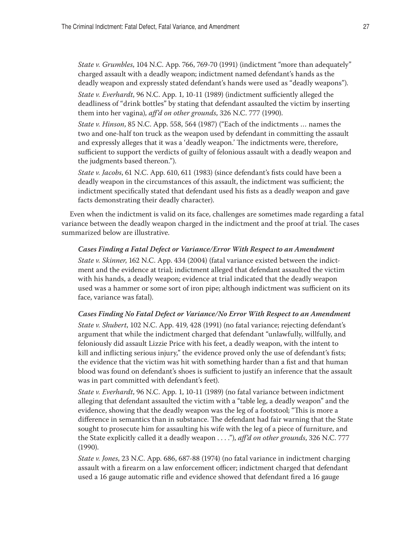*State v. Grumbles*, 104 N.C. App. 766, 769-70 (1991) (indictment "more than adequately" charged assault with a deadly weapon; indictment named defendant's hands as the deadly weapon and expressly stated defendant's hands were used as "deadly weapons").

*State v. Everhardt*, 96 N.C. App. 1, 10-11 (1989) (indictment sufficiently alleged the deadliness of "drink bottles" by stating that defendant assaulted the victim by inserting them into her vagina), *aff'd on other grounds*, 326 N.C. 777 (1990).

*State v. Hinson*, 85 N.C. App. 558, 564 (1987) ("Each of the indictments … names the two and one-half ton truck as the weapon used by defendant in committing the assault and expressly alleges that it was a 'deadly weapon.' The indictments were, therefore, sufficient to support the verdicts of guilty of felonious assault with a deadly weapon and the judgments based thereon.").

*State v. Jacobs*, 61 N.C. App. 610, 611 (1983) (since defendant's fists could have been a deadly weapon in the circumstances of this assault, the indictment was sufficient; the indictment specifically stated that defendant used his fists as a deadly weapon and gave facts demonstrating their deadly character).

Even when the indictment is valid on its face, challenges are sometimes made regarding a fatal variance between the deadly weapon charged in the indictment and the proof at trial. The cases summarized below are illustrative.

#### *Cases Finding a Fatal Defect or Variance/Error With Respect to an Amendment*

*State v. Skinner*, 162 N.C. App. 434 (2004) (fatal variance existed between the indictment and the evidence at trial; indictment alleged that defendant assaulted the victim with his hands, a deadly weapon; evidence at trial indicated that the deadly weapon used was a hammer or some sort of iron pipe; although indictment was sufficient on its face, variance was fatal).

#### *Cases Finding No Fatal Defect or Variance/No Error With Respect to an Amendment*

*State v. Shubert*, 102 N.C. App. 419, 428 (1991) (no fatal variance; rejecting defendant's argument that while the indictment charged that defendant "unlawfully, willfully, and feloniously did assault Lizzie Price with his feet, a deadly weapon, with the intent to kill and inflicting serious injury," the evidence proved only the use of defendant's fists; the evidence that the victim was hit with something harder than a fist and that human blood was found on defendant's shoes is sufficient to justify an inference that the assault was in part committed with defendant's feet).

*State v. Everhardt*, 96 N.C. App. 1, 10-11 (1989) (no fatal variance between indictment alleging that defendant assaulted the victim with a "table leg, a deadly weapon" and the evidence, showing that the deadly weapon was the leg of a footstool; "This is more a difference in semantics than in substance. The defendant had fair warning that the State sought to prosecute him for assaulting his wife with the leg of a piece of furniture, and the State explicitly called it a deadly weapon . . . ."), *aff'd on other grounds*, 326 N.C. 777 (1990).

*State v. Jones*, 23 N.C. App. 686, 687-88 (1974) (no fatal variance in indictment charging assault with a firearm on a law enforcement officer; indictment charged that defendant used a 16 gauge automatic rifle and evidence showed that defendant fired a 16 gauge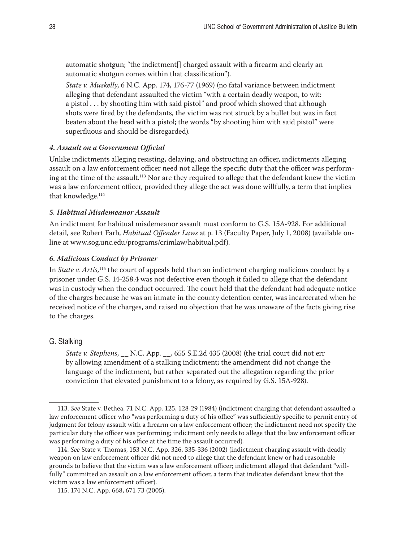<span id="page-27-0"></span>automatic shotgun; "the indictment[] charged assault with a firearm and clearly an automatic shotgun comes within that classification").

*State v. Muskelly*, 6 N.C. App. 174, 176-77 (1969) (no fatal variance between indictment alleging that defendant assaulted the victim "with a certain deadly weapon, to wit: a pistol . . . by shooting him with said pistol" and proof which showed that although shots were fired by the defendants, the victim was not struck by a bullet but was in fact beaten about the head with a pistol; the words "by shooting him with said pistol" were superfluous and should be disregarded).

## *4. Assault on a Government Official*

Unlike indictments alleging resisting, delaying, and obstructing an officer, indictments alleging assault on a law enforcement officer need not allege the specific duty that the officer was performing at the time of the assault.113 Nor are they required to allege that the defendant knew the victim was a law enforcement officer, provided they allege the act was done willfully, a term that implies that knowledge.<sup>114</sup>

# *5. Habitual Misdemeanor Assault*

An indictment for habitual misdemeanor assault must conform to G.S. 15A-928. For additional detail, see Robert Farb, *Habitual Offender Laws* at p. 13 (Faculty Paper, July 1, 2008) (available online at www.sog.unc.edu/programs/crimlaw/habitual.pdf).

#### *6. Malicious Conduct by Prisoner*

In *State v. Artis,*<sup>115</sup> the court of appeals held than an indictment charging malicious conduct by a prisoner under G.S. 14-258.4 was not defective even though it failed to allege that the defendant was in custody when the conduct occurred. The court held that the defendant had adequate notice of the charges because he was an inmate in the county detention center, was incarcerated when he received notice of the charges, and raised no objection that he was unaware of the facts giving rise to the charges.

# G. Stalking

*State v. Stephens*, \_\_ N.C. App. \_\_, 655 S.E.2d 435 (2008) (the trial court did not err by allowing amendment of a stalking indictment; the amendment did not change the language of the indictment, but rather separated out the allegation regarding the prior conviction that elevated punishment to a felony, as required by G.S. 15A-928).

<sup>113.</sup> *See* State v. Bethea, 71 N.C. App. 125, 128-29 (1984) (indictment charging that defendant assaulted a law enforcement officer who "was performing a duty of his office" was sufficiently specific to permit entry of judgment for felony assault with a firearm on a law enforcement officer; the indictment need not specify the particular duty the officer was performing; indictment only needs to allege that the law enforcement officer was performing a duty of his office at the time the assault occurred).

<sup>114.</sup> *See* State v. Thomas, 153 N.C. App. 326, 335-336 (2002) (indictment charging assault with deadly weapon on law enforcement officer did not need to allege that the defendant knew or had reasonable grounds to believe that the victim was a law enforcement officer; indictment alleged that defendant "willfully" committed an assault on a law enforcement officer, a term that indicates defendant knew that the victim was a law enforcement officer).

<sup>115. 174</sup> N.C. App. 668, 671-73 (2005).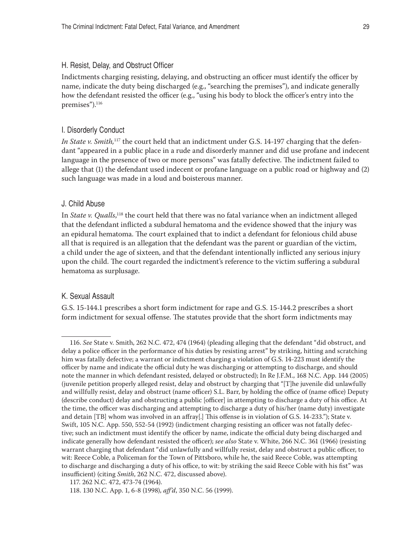#### <span id="page-28-0"></span>H. Resist, Delay, and Obstruct Officer

Indictments charging resisting, delaying, and obstructing an officer must identify the officer by name, indicate the duty being discharged (e.g., "searching the premises"), and indicate generally how the defendant resisted the officer (e.g., "using his body to block the officer's entry into the premises").<sup>116</sup>

## I. Disorderly Conduct

*In State v. Smith*,<sup>117</sup> the court held that an indictment under G.S. 14-197 charging that the defendant "appeared in a public place in a rude and disorderly manner and did use profane and indecent language in the presence of two or more persons" was fatally defective. The indictment failed to allege that (1) the defendant used indecent or profane language on a public road or highway and (2) such language was made in a loud and boisterous manner.

#### J. Child Abuse

In *State v. Qualls*, 118 the court held that there was no fatal variance when an indictment alleged that the defendant inflicted a subdural hematoma and the evidence showed that the injury was an epidural hematoma. The court explained that to indict a defendant for felonious child abuse all that is required is an allegation that the defendant was the parent or guardian of the victim, a child under the age of sixteen, and that the defendant intentionally inflicted any serious injury upon the child. The court regarded the indictment's reference to the victim suffering a subdural hematoma as surplusage.

## K. Sexual Assault

G.S. 15-144.1 prescribes a short form indictment for rape and G.S. 15-144.2 prescribes a short form indictment for sexual offense. The statutes provide that the short form indictments may

<sup>116.</sup> *See* State v. Smith, 262 N.C. 472, 474 (1964) (pleading alleging that the defendant "did obstruct, and delay a police officer in the performance of his duties by resisting arrest" by striking, hitting and scratching him was fatally defective; a warrant or indictment charging a violation of G.S. 14-223 must identify the officer by name and indicate the official duty he was discharging or attempting to discharge, and should note the manner in which defendant resisted, delayed or obstructed); In Re J.F.M., 168 N.C. App. 144 (2005) (juvenile petition properly alleged resist, delay and obstruct by charging that "[T]he juvenile did unlawfully and willfully resist, delay and obstruct (name officer) S.L. Barr, by holding the office of (name office) Deputy (describe conduct) delay and obstructing a public [officer] in attempting to discharge a duty of his office. At the time, the officer was discharging and attempting to discharge a duty of his/her (name duty) investigate and detain [TB] whom was involved in an affray[.] This offense is in violation of G.S. 14-233."); State v. Swift, 105 N.C. App. 550, 552-54 (1992) (indictment charging resisting an officer was not fatally defective; such an indictment must identify the officer by name, indicate the official duty being discharged and indicate generally how defendant resisted the officer); *see also* State v. White, 266 N.C. 361 (1966) (resisting warrant charging that defendant "did unlawfully and willfully resist, delay and obstruct a public officer, to wit: Reece Coble, a Policeman for the Town of Pittsboro, while he, the said Reece Coble, was attempting to discharge and discharging a duty of his office, to wit: by striking the said Reece Coble with his fist" was insufficient) (citing *Smith*, 262 N.C. 472, discussed above).

<sup>117. 262</sup> N.C. 472, 473-74 (1964).

<sup>118. 130</sup> N.C. App. 1, 6-8 (1998), *aff'd*, 350 N.C. 56 (1999).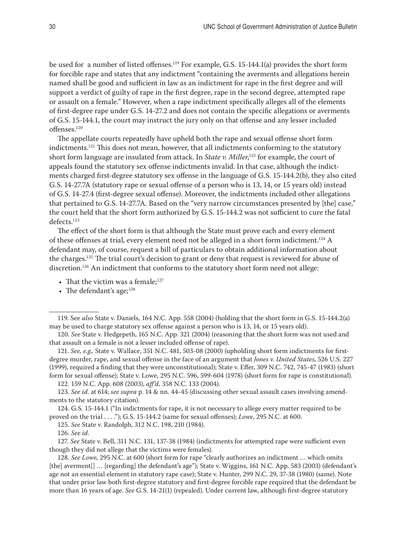<span id="page-29-0"></span>be used for a number of listed offenses.<sup>119</sup> For example, G.S. 15-144.1(a) provides the short form for forcible rape and states that any indictment "containing the averments and allegations herein named shall be good and sufficient in law as an indictment for rape in the first degree and will support a verdict of guilty of rape in the first degree, rape in the second degree, attempted rape or assault on a female." However, when a rape indictment specifically alleges all of the elements of first-degree rape under G.S. 14-27.2 and does not contain the specific allegations or averments of G.S. 15-144.1, the court may instruct the jury only on that offense and any lesser included offenses.120

The appellate courts repeatedly have upheld both the rape and sexual offense short form indictments.121 This does not mean, however, that all indictments conforming to the statutory short form language are insulated from attack. In *State v. Miller*, 122 for example, the court of appeals found the statutory sex offense indictments invalid. In that case, although the indictments charged first-degree statutory sex offense in the language of G.S. 15-144.2(b), they also cited G.S. 14-27.7A (statutory rape or sexual offense of a person who is 13, 14, or 15 years old) instead of G.S. 14-27.4 (first-degree sexual offense). Moreover, the indictments included other allegations that pertained to G.S. 14-27.7A. Based on the "very narrow circumstances presented by [the] case," the court held that the short form authorized by G.S. 15-144.2 was not sufficient to cure the fatal defects.<sup>123</sup>

The effect of the short form is that although the State must prove each and every element of these offenses at trial, every element need not be alleged in a short form indictment.124 A defendant may, of course, request a bill of particulars to obtain additional information about the charges.125 The trial court's decision to grant or deny that request is reviewed for abuse of discretion.126 An indictment that conforms to the statutory short form need not allege:

- That the victim was a female; $127$
- The defendant's age; $^{128}$

122. 159 N.C. App. 608 (2003), *aff'd,* 358 N.C. 133 (2004).

123. *See id*. at 614; *see supra* p. 14 & nn. 44-45 (discussing other sexual assault cases involving amendments to the statutory citation).

124. G.S. 15-144.1 ("In indictments for rape, it is not necessary to allege every matter required to be proved on the trial . . . ."); G.S. 15-144.2 (same for sexual offenses); *Lowe*, 295 N.C. at 600.

125. *See* State v. Randolph, 312 N.C. 198, 210 (1984).

126. *See id.*

127. *See* State v. Bell, 311 N.C. 131, 137-38 (1984) (indictments for attempted rape were sufficient even though they did not allege that the victims were females).

128. *See Lowe,* 295 N.C. at 600 (short form for rape "clearly authorizes an indictment … which omits [the] averment[] ... [regarding] the defendant's age"); State v. Wiggins, 161 N.C. App. 583 (2003) (defendant's age not an essential element in statutory rape case); State v. Hunter, 299 N.C. 29, 37-38 (1980) (same). Note that under prior law both first-degree statutory and first-degree forcible rape required that the defendant be more than 16 years of age. *See* G.S. 14-21(1) (repealed). Under current law, although first-degree statutory

<sup>119.</sup> See *also* State v. Daniels*,* 164 N.C. App. 558 (2004) (holding that the short form in G.S. 15-144.2(a) may be used to charge statutory sex offense against a person who is 13, 14, or 15 years old).

<sup>120.</sup> *See* State v. Hedgepeth, 165 N.C. App. 321 (2004) (reasoning that the short form was not used and that assault on a female is not a lesser included offense of rape).

<sup>121.</sup> *See, e.g.,* State v. Wallace, 351 N.C. 481, 503-08 (2000) (upholding short form indictments for firstdegree murder, rape, and sexual offense in the face of an argument that *Jones v. United States*, 526 U.S. 227 (1999), required a finding that they were unconstitutional); State v. Effer, 309 N.C. 742, 745-47 (1983) (short form for sexual offense); State v. Lowe, 295 N.C. 596, 599-604 (1978) (short form for rape is constitutional).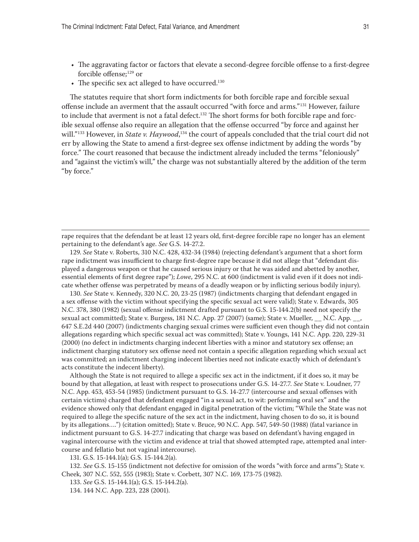- • The aggravating factor or factors that elevate a second-degree forcible offense to a first-degree forcible offense;129 or
- $\bullet$  The specific sex act alleged to have occurred.<sup>130</sup>

The statutes require that short form indictments for both forcible rape and forcible sexual offense include an averment that the assault occurred "with force and arms."131 However, failure to include that averment is not a fatal defect.<sup>132</sup> The short forms for both forcible rape and forcible sexual offense also require an allegation that the offense occurred "by force and against her will."<sup>133</sup> However, in *State v. Haywood*,<sup>134</sup> the court of appeals concluded that the trial court did not err by allowing the State to amend a first-degree sex offense indictment by adding the words "by force." The court reasoned that because the indictment already included the terms "feloniously" and "against the victim's will," the charge was not substantially altered by the addition of the term "by force."

rape requires that the defendant be at least 12 years old, first-degree forcible rape no longer has an element pertaining to the defendant's age. *See* G.S. 14-27.2.

129. *See* State v. Roberts, 310 N.C. 428, 432-34 (1984) (rejecting defendant's argument that a short form rape indictment was insufficient to charge first-degree rape because it did not allege that "defendant displayed a dangerous weapon or that he caused serious injury or that he was aided and abetted by another, essential elements of first degree rape"); *Lowe*, 295 N.C. at 600 (indictment is valid even if it does not indicate whether offense was perpetrated by means of a deadly weapon or by inflicting serious bodily injury).

130. *See* State v. Kennedy, 320 N.C. 20, 23-25 (1987) (indictments charging that defendant engaged in a sex offense with the victim without specifying the specific sexual act were valid); State v. Edwards, 305 N.C. 378, 380 (1982) (sexual offense indictment drafted pursuant to G.S. 15-144.2(b) need not specify the sexual act committed); State v. Burgess, 181 N.C. App. 27 (2007) (same); State v. Mueller, \_\_ N.C. App. \_\_, 647 S.E.2d 440 (2007) (indictments charging sexual crimes were sufficient even though they did not contain allegations regarding which specific sexual act was committed); State v. Youngs, 141 N.C. App. 220, 229-31 (2000) (no defect in indictments charging indecent liberties with a minor and statutory sex offense; an indictment charging statutory sex offense need not contain a specific allegation regarding which sexual act was committed; an indictment charging indecent liberties need not indicate exactly which of defendant's acts constitute the indecent liberty).

Although the State is not required to allege a specific sex act in the indictment, if it does so, it may be bound by that allegation, at least with respect to prosecutions under G.S. 14-27.7. *See* State v. Loudner, 77 N.C. App. 453, 453-54 (1985) (indictment pursuant to G.S. 14-27.7 (intercourse and sexual offenses with certain victims) charged that defendant engaged "in a sexual act, to wit: performing oral sex" and the evidence showed only that defendant engaged in digital penetration of the victim; "While the State was not required to allege the specific nature of the sex act in the indictment, having chosen to do so, it is bound by its allegations….") (citation omitted); State v. Bruce, 90 N.C. App. 547, 549-50 (1988) (fatal variance in indictment pursuant to G.S. 14-27.7 indicating that charge was based on defendant's having engaged in vaginal intercourse with the victim and evidence at trial that showed attempted rape, attempted anal intercourse and fellatio but not vaginal intercourse).

131. G.S. 15-144.1(a); G.S. 15-144.2(a).

132. *See* G.S. 15-155 (indictment not defective for omission of the words "with force and arms"); State v. Cheek, 307 N.C. 552, 555 (1983); State v. Corbett, 307 N.C. 169, 173-75 (1982).

133. *See* G.S. 15-144.1(a); G.S. 15-144.2(a).

134. 144 N.C. App. 223, 228 (2001).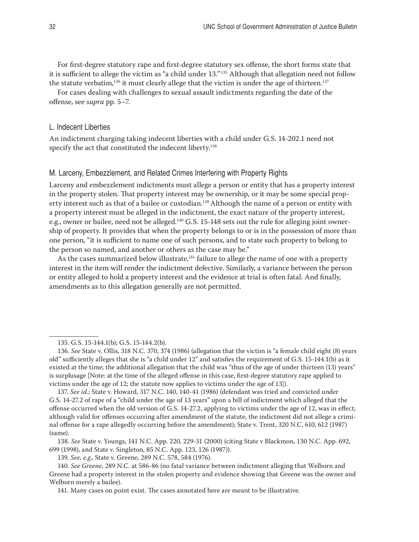<span id="page-31-0"></span>For first-degree statutory rape and first-degree statutory sex offense, the short forms state that it is sufficient to allege the victim as "a child under 13." 135 Although that allegation need not follow the statute verbatim,<sup>136</sup> it must clearly allege that the victim is under the age of thirteen.<sup>137</sup>

For cases dealing with challenges to sexual assault indictments regarding the date of the offense, see *supra* pp. 5–7.

#### L. Indecent Liberties

An indictment charging taking indecent liberties with a child under G.S. 14-202.1 need not specify the act that constituted the indecent liberty.<sup>138</sup>

## M. Larceny, Embezzlement, and Related Crimes Interfering with Property Rights

Larceny and embezzlement indictments must allege a person or entity that has a property interest in the property stolen. That property interest may be ownership, or it may be some special property interest such as that of a bailee or custodian.<sup>139</sup> Although the name of a person or entity with a property interest must be alleged in the indictment, the exact nature of the property interest, e.g., owner or bailee, need not be alleged*.* 140 G.S. 15-148 sets out the rule for alleging joint ownership of property. It provides that when the property belongs to or is in the possession of more than one person, "it is sufficient to name one of such persons, and to state such property to belong to the person so named, and another or others as the case may be."

As the cases summarized below illustrate, $141$  failure to allege the name of one with a property interest in the item will render the indictment defective. Similarly, a variance between the person or entity alleged to hold a property interest and the evidence at trial is often fatal. And finally, amendments as to this allegation generally are not permitted.

138. *See* State v. Youngs, 141 N.C. App. 220, 229-31 (2000) (citing State v Blackmon, 130 N.C. App. 692, 699 (1998), and State v. Singleton, 85 N.C. App. 123, 126 (1987)).

139. *See, e.g*., State v. Greene, 289 N.C. 578, 584 (1976).

<sup>135.</sup> G.S. 15-144.1(b); G.S. 15-144.2(b).

<sup>136.</sup> *See* State v. Ollis, 318 N.C. 370, 374 (1986) (allegation that the victim is "a female child eight (8) years old" sufficiently alleges that she is "a child under 12" and satisfies the requirement of G.S. 15-144.1(b) as it existed at the time; the additional allegation that the child was "thus of the age of under thirteen (13) years" is surplusage [Note: at the time of the alleged offense in this case, first-degree statutory rape applied to victims under the age of 12; the statute now applies to victims under the age of 13]).

<sup>137.</sup> *See id*.; State v. Howard, 317 N.C. 140, 140-41 (1986) (defendant was tried and convicted under G.S. 14-27.2 of rape of a "child under the age of 13 years" upon a bill of indictment which alleged that the offense occurred when the old version of G.S. 14-27.2, applying to victims under the age of 12, was in effect; although valid for offenses occurring after amendment of the statute, the indictment did not allege a criminal offense for a rape allegedly occurring before the amendment); State v. Trent, 320 N.C. 610, 612 (1987) (same).

<sup>140.</sup> *See Greene*, 289 N.C. at 586-86 (no fatal variance between indictment alleging that Welborn and Greene had a property interest in the stolen property and evidence showing that Greene was the owner and Welborn merely a bailee).

<sup>141.</sup> Many cases on point exist. The cases annotated here are meant to be illustrative.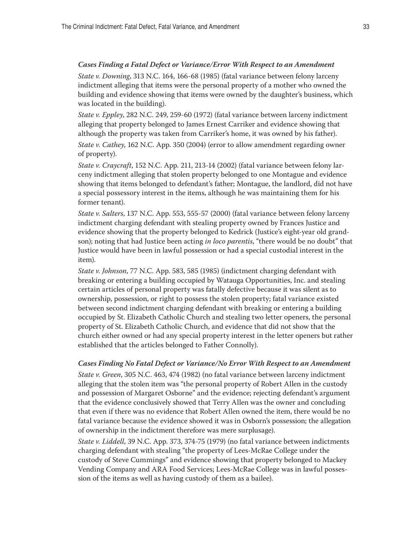# <span id="page-32-0"></span>*Cases Finding a Fatal Defect or Variance/Error With Respect to an Amendment*

*State v. Downing*, 313 N.C. 164, 166-68 (1985) (fatal variance between felony larceny indictment alleging that items were the personal property of a mother who owned the building and evidence showing that items were owned by the daughter's business, which was located in the building).

*State v. Eppley*, 282 N.C. 249, 259-60 (1972) (fatal variance between larceny indictment alleging that property belonged to James Ernest Carriker and evidence showing that although the property was taken from Carriker's home, it was owned by his father).

*State v. Cathey*, 162 N.C. App. 350 (2004) (error to allow amendment regarding owner of property).

*State v. Craycraft*, 152 N.C. App. 211, 213-14 (2002) (fatal variance between felony larceny indictment alleging that stolen property belonged to one Montague and evidence showing that items belonged to defendant's father; Montague, the landlord, did not have a special possessory interest in the items, although he was maintaining them for his former tenant).

*State v. Salters*, 137 N.C. App. 553, 555-57 (2000) (fatal variance between felony larceny indictment charging defendant with stealing property owned by Frances Justice and evidence showing that the property belonged to Kedrick (Justice's eight-year old grandson); noting that had Justice been acting *in loco parentis*, "there would be no doubt" that Justice would have been in lawful possession or had a special custodial interest in the item).

*State v. Johnson*, 77 N.C. App. 583, 585 (1985) (indictment charging defendant with breaking or entering a building occupied by Watauga Opportunities, Inc. and stealing certain articles of personal property was fatally defective because it was silent as to ownership, possession, or right to possess the stolen property; fatal variance existed between second indictment charging defendant with breaking or entering a building occupied by St. Elizabeth Catholic Church and stealing two letter openers, the personal property of St. Elizabeth Catholic Church, and evidence that did not show that the church either owned or had any special property interest in the letter openers but rather established that the articles belonged to Father Connolly).

#### *Cases Finding No Fatal Defect or Variance/No Error With Respect to an Amendment*

*State v. Green*, 305 N.C. 463, 474 (1982) (no fatal variance between larceny indictment alleging that the stolen item was "the personal property of Robert Allen in the custody and possession of Margaret Osborne" and the evidence; rejecting defendant's argument that the evidence conclusively showed that Terry Allen was the owner and concluding that even if there was no evidence that Robert Allen owned the item, there would be no fatal variance because the evidence showed it was in Osborn's possession; the allegation of ownership in the indictment therefore was mere surplusage).

*State v. Liddell*, 39 N.C. App. 373, 374-75 (1979) (no fatal variance between indictments charging defendant with stealing "the property of Lees-McRae College under the custody of Steve Cummings" and evidence showing that property belonged to Mackey Vending Company and ARA Food Services; Lees-McRae College was in lawful possession of the items as well as having custody of them as a bailee).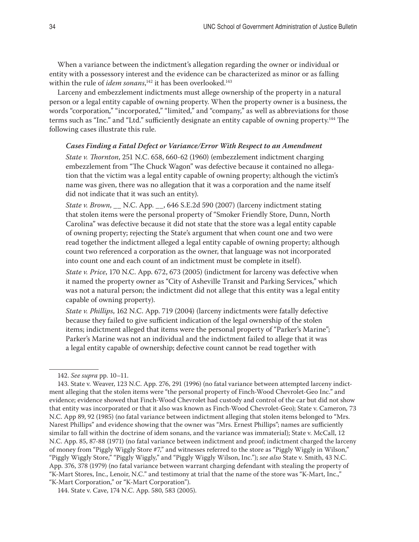When a variance between the indictment's allegation regarding the owner or individual or entity with a possessory interest and the evidence can be characterized as minor or as falling within the rule of *idem sonans*, 142 it has been overlooked.143

Larceny and embezzlement indictments must allege ownership of the property in a natural person or a legal entity capable of owning property. When the property owner is a business, the words "corporation," "incorporated," "limited," and "company," as well as abbreviations for those terms such as "Inc." and "Ltd." sufficiently designate an entity capable of owning property.<sup>144</sup> The following cases illustrate this rule.

#### *Cases Finding a Fatal Defect or Variance/Error With Respect to an Amendment*

*State v. Thornton*, 251 N.C. 658, 660-62 (1960) (embezzlement indictment charging embezzlement from "The Chuck Wagon" was defective because it contained no allegation that the victim was a legal entity capable of owning property; although the victim's name was given, there was no allegation that it was a corporation and the name itself did not indicate that it was such an entity).

*State v. Brown*, \_\_ N.C. App. \_\_, 646 S.E.2d 590 (2007) (larceny indictment stating that stolen items were the personal property of "Smoker Friendly Store, Dunn, North Carolina" was defective because it did not state that the store was a legal entity capable of owning property; rejecting the State's argument that when count one and two were read together the indictment alleged a legal entity capable of owning property; although count two referenced a corporation as the owner, that language was not incorporated into count one and each count of an indictment must be complete in itself).

*State v. Price*, 170 N.C. App. 672, 673 (2005) (indictment for larceny was defective when it named the property owner as "City of Asheville Transit and Parking Services," which was not a natural person; the indictment did not allege that this entity was a legal entity capable of owning property).

*State v. Phillips*, 162 N.C. App. 719 (2004) (larceny indictments were fatally defective because they failed to give sufficient indication of the legal ownership of the stolen items; indictment alleged that items were the personal property of "Parker's Marine"; Parker's Marine was not an individual and the indictment failed to allege that it was a legal entity capable of ownership; defective count cannot be read together with

<sup>142.</sup> *See supra* pp. 10–11.

<sup>143.</sup> State v. Weaver, 123 N.C. App. 276, 291 (1996) (no fatal variance between attempted larceny indictment alleging that the stolen items were "the personal property of Finch-Wood Chevrolet-Geo Inc." and evidence; evidence showed that Finch-Wood Chevrolet had custody and control of the car but did not show that entity was incorporated or that it also was known as Finch-Wood Chevrolet-Geo); State v. Cameron*,* 73 N.C. App 89, 92 (1985) (no fatal variance between indictment alleging that stolen items belonged to "Mrs. Narest Phillips" and evidence showing that the owner was "Mrs. Ernest Phillips"; names are sufficiently similar to fall within the doctrine of idem sonans, and the variance was immaterial); State v. McCall, 12 N.C. App. 85, 87-88 (1971) (no fatal variance between indictment and proof; indictment charged the larceny of money from "Piggly Wiggly Store #7," and witnesses referred to the store as "Piggly Wiggly in Wilson," "Piggly Wiggly Store," "Piggly Wiggly," and "Piggly Wiggly Wilson, Inc."); *see also* State v. Smith, 43 N.C. App. 376, 378 (1979) (no fatal variance between warrant charging defendant with stealing the property of "K-Mart Stores, Inc., Lenoir, N.C." and testimony at trial that the name of the store was "K-Mart, Inc.," "K-Mart Corporation," or "K-Mart Corporation").

<sup>144.</sup> State v. Cave, 174 N.C. App. 580, 583 (2005).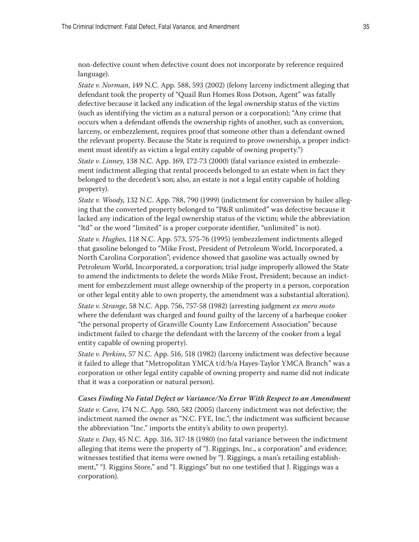non-defective count when defective count does not incorporate by reference required language).

*State v. Norman*, 149 N.C. App. 588, 593 (2002) (felony larceny indictment alleging that defendant took the property of "Quail Run Homes Ross Dotson, Agent" was fatally defective because it lacked any indication of the legal ownership status of the victim (such as identifying the victim as a natural person or a corporation); "Any crime that occurs when a defendant offends the ownership rights of another, such as conversion, larceny, or embezzlement, requires proof that someone other than a defendant owned the relevant property. Because the State is required to prove ownership, a proper indictment must identify as victim a legal entity capable of owning property.")

*State v. Linney*, 138 N.C. App. 169, 172-73 (2000) (fatal variance existed in embezzlement indictment alleging that rental proceeds belonged to an estate when in fact they belonged to the decedent's son; also, an estate is not a legal entity capable of holding property).

*State v. Woody*, 132 N.C. App. 788, 790 (1999) (indictment for conversion by bailee alleging that the converted property belonged to "P&R unlimited" was defective because it lacked any indication of the legal ownership status of the victim; while the abbreviation "ltd" or the word "limited" is a proper corporate identifier, "unlimited" is not).

*State v. Hughes*, 118 N.C. App. 573, 575-76 (1995) (embezzlement indictments alleged that gasoline belonged to "Mike Frost, President of Petroleum World, Incorporated, a North Carolina Corporation"; evidence showed that gasoline was actually owned by Petroleum World, Incorporated, a corporation; trial judge improperly allowed the State to amend the indictments to delete the words Mike Frost, President; because an indictment for embezzlement must allege ownership of the property in a person, corporation or other legal entity able to own property, the amendment was a substantial alteration).

*State v. Strange*, 58 N.C. App. 756, 757-58 (1982) (arresting judgment *ex mero moto* where the defendant was charged and found guilty of the larceny of a barbeque cooker "the personal property of Granville County Law Enforcement Association" because indictment failed to charge the defendant with the larceny of the cooker from a legal entity capable of owning property).

*State v. Perkins*, 57 N.C. App. 516, 518 (1982) (larceny indictment was defective because it failed to allege that "Metropolitan YMCA t/d/b/a Hayes-Taylor YMCA Branch" was a corporation or other legal entity capable of owning property and name did not indicate that it was a corporation or natural person).

#### *Cases Finding No Fatal Defect or Variance/No Error With Respect to an Amendment*

*State v. Cave,* 174 N.C. App. 580, 582 (2005) (larceny indictment was not defective; the indictment named the owner as "N.C. FYE, Inc."; the indictment was sufficient because the abbreviation "Inc." imports the entity's ability to own property).

*State v. Day*, 45 N.C. App. 316, 317-18 (1980) (no fatal variance between the indictment alleging that items were the property of "J. Riggings, Inc., a corporation" and evidence; witnesses testified that items were owned by "J. Riggings, a man's retailing establishment," "J. Riggins Store," and "J. Riggings" but no one testified that J. Riggings was a corporation).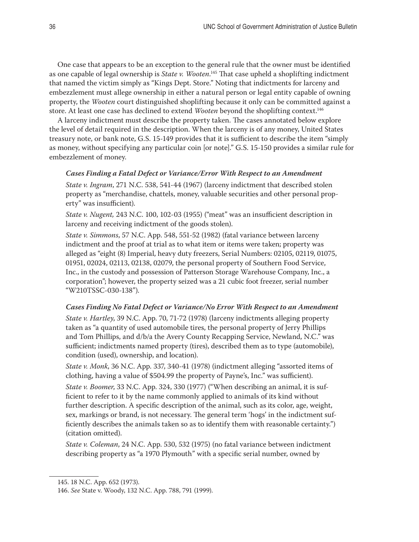One case that appears to be an exception to the general rule that the owner must be identified as one capable of legal ownership is *State v. Wooten*. 145 That case upheld a shoplifting indictment that named the victim simply as "Kings Dept. Store." Noting that indictments for larceny and embezzlement must allege ownership in either a natural person or legal entity capable of owning property, the *Wooten* court distinguished shoplifting because it only can be committed against a store. At least one case has declined to extend *Wooten* beyond the shoplifting context.146

A larceny indictment must describe the property taken. The cases annotated below explore the level of detail required in the description. When the larceny is of any money, United States treasury note, or bank note, G.S. 15-149 provides that it is sufficient to describe the item "simply as money, without specifying any particular coin [or note]." G.S. 15-150 provides a similar rule for embezzlement of money.

#### *Cases Finding a Fatal Defect or Variance/Error With Respect to an Amendment*

*State v. Ingram*, 271 N.C. 538, 541-44 (1967) (larceny indictment that described stolen property as "merchandise, chattels, money, valuable securities and other personal property" was insufficient).

*State v. Nugent,* 243 N.C. 100, 102-03 (1955) ("meat" was an insufficient description in larceny and receiving indictment of the goods stolen).

*State v. Simmons*, 57 N.C. App. 548, 551-52 (1982) (fatal variance between larceny indictment and the proof at trial as to what item or items were taken; property was alleged as "eight (8) Imperial, heavy duty freezers, Serial Numbers: 02105, 02119, 01075, 01951, 02024, 02113, 02138, 02079, the personal property of Southern Food Service, Inc., in the custody and possession of Patterson Storage Warehouse Company, Inc., a corporation"; however, the property seized was a 21 cubic foot freezer, serial number "W210TSSC-030-138").

#### *Cases Finding No Fatal Defect or Variance/No Error With Respect to an Amendment*

*State v. Hartley*, 39 N.C. App. 70, 71-72 (1978) (larceny indictments alleging property taken as "a quantity of used automobile tires, the personal property of Jerry Phillips and Tom Phillips, and d/b/a the Avery County Recapping Service, Newland, N.C." was sufficient; indictments named property (tires), described them as to type (automobile), condition (used), ownership, and location).

*State v. Monk*, 36 N.C. App. 337, 340-41 (1978) (indictment alleging "assorted items of clothing, having a value of \$504.99 the property of Payne's, Inc." was sufficient).

*State v. Boomer*, 33 N.C. App. 324, 330 (1977) ("When describing an animal, it is sufficient to refer to it by the name commonly applied to animals of its kind without further description. A specific description of the animal, such as its color, age, weight, sex, markings or brand, is not necessary. The general term 'hogs' in the indictment sufficiently describes the animals taken so as to identify them with reasonable certainty.") (citation omitted).

*State v. Coleman*, 24 N.C. App. 530, 532 (1975) (no fatal variance between indictment describing property as "a 1970 Plymouth" with a specific serial number, owned by

<sup>145. 18</sup> N.C. App. 652 (1973).

<sup>146.</sup> *See* State v. Woody, 132 N.C. App. 788, 791 (1999).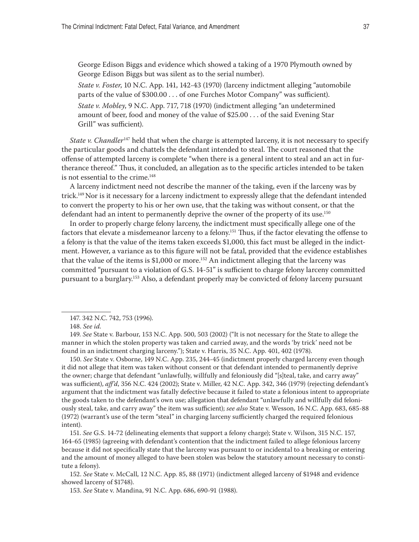George Edison Biggs and evidence which showed a taking of a 1970 Plymouth owned by George Edison Biggs but was silent as to the serial number).

*State v. Foster*, 10 N.C. App. 141, 142-43 (1970) (larceny indictment alleging "automobile parts of the value of \$300.00 . . . of one Furches Motor Company" was sufficient).

*State v. Mobley*, 9 N.C. App. 717, 718 (1970) (indictment alleging "an undetermined amount of beer, food and money of the value of \$25.00 . . . of the said Evening Star Grill" was sufficient).

*State v. Chandler*<sup>147</sup> held that when the charge is attempted larceny, it is not necessary to specify the particular goods and chattels the defendant intended to steal. The court reasoned that the offense of attempted larceny is complete "when there is a general intent to steal and an act in furtherance thereof." Thus, it concluded, an allegation as to the specific articles intended to be taken is not essential to the crime.<sup>148</sup>

A larceny indictment need not describe the manner of the taking, even if the larceny was by trick.<sup>149</sup> Nor is it necessary for a larceny indictment to expressly allege that the defendant intended to convert the property to his or her own use, that the taking was without consent, or that the defendant had an intent to permanently deprive the owner of the property of its use.<sup>150</sup>

In order to properly charge felony larceny, the indictment must specifically allege one of the factors that elevate a misdemeanor larceny to a felony.<sup>151</sup> Thus, if the factor elevating the offense to a felony is that the value of the items taken exceeds \$1,000, this fact must be alleged in the indictment. However, a variance as to this figure will not be fatal, provided that the evidence establishes that the value of the items is  $$1,000$  or more.<sup>152</sup> An indictment alleging that the larceny was committed "pursuant to a violation of G.S. 14-51" is sufficient to charge felony larceny committed pursuant to a burglary.153 Also, a defendant properly may be convicted of felony larceny pursuant

147. 342 N.C. 742, 753 (1996).

148. *See id.*

149. *See* State v. Barbour, 153 N.C. App. 500, 503 (2002) ("It is not necessary for the State to allege the manner in which the stolen property was taken and carried away, and the words 'by trick' need not be found in an indictment charging larceny."); State v. Harris, 35 N.C. App. 401, 402 (1978).

150. *See* State v. Osborne, 149 N.C. App. 235, 244-45 (indictment properly charged larceny even though it did not allege that item was taken without consent or that defendant intended to permanently deprive the owner; charge that defendant "unlawfully, willfully and feloniously did "[s]teal, take, and carry away" was sufficient), *aff'd*, 356 N.C. 424 (2002); State v. Miller, 42 N.C. App. 342, 346 (1979) (rejecting defendant's argument that the indictment was fatally defective because it failed to state a felonious intent to appropriate the goods taken to the defendant's own use; allegation that defendant "unlawfully and willfully did feloniously steal, take, and carry away" the item was sufficient); *see also* State v. Wesson, 16 N.C. App. 683, 685-88 (1972) (warrant's use of the term "steal" in charging larceny sufficiently charged the required felonious intent).

151. *See* G.S. 14-72 (delineating elements that support a felony charge); State v. Wilson, 315 N.C. 157, 164-65 (1985) (agreeing with defendant's contention that the indictment failed to allege felonious larceny because it did not specifically state that the larceny was pursuant to or incidental to a breaking or entering and the amount of money alleged to have been stolen was below the statutory amount necessary to constitute a felony).

152. *See* State v. McCall, 12 N.C. App. 85, 88 (1971) (indictment alleged larceny of \$1948 and evidence showed larceny of \$1748).

153. *See* State v. Mandina, 91 N.C. App. 686, 690-91 (1988).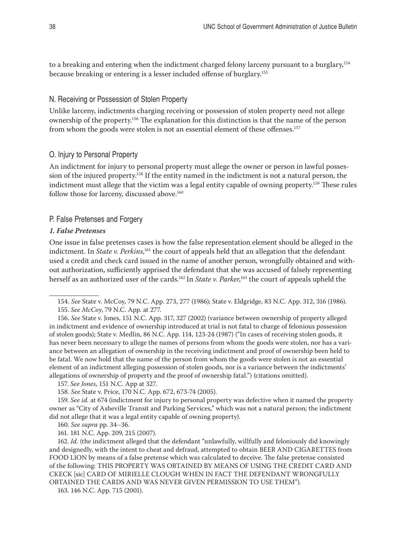<span id="page-37-0"></span>to a breaking and entering when the indictment charged felony larceny pursuant to a burglary,<sup>154</sup> because breaking or entering is a lesser included offense of burglary.155

## N. Receiving or Possession of Stolen Property

Unlike larceny, indictments charging receiving or possession of stolen property need not allege ownership of the property.156 The explanation for this distinction is that the name of the person from whom the goods were stolen is not an essential element of these offenses.<sup>157</sup>

## O. Injury to Personal Property

An indictment for injury to personal property must allege the owner or person in lawful possession of the injured property.158 If the entity named in the indictment is not a natural person, the indictment must allege that the victim was a legal entity capable of owning property.159 These rules follow those for larceny, discussed above.<sup>160</sup>

#### P. False Pretenses and Forgery

#### *1. False Pretenses*

One issue in false pretenses cases is how the false representation element should be alleged in the indictment. In *State v. Perkins*, 161 the court of appeals held that an allegation that the defendant used a credit and check card issued in the name of another person, wrongfully obtained and without authorization, sufficiently apprised the defendant that she was accused of falsely representing herself as an authorized user of the cards.162 In *State v. Parker*, 163 the court of appeals upheld the

157. *See Jones*, 151 N.C. App at 327.

158. *See* State v. Price, 170 N.C. App. 672, 673-74 (2005).

159. *See id.* at 674 (indictment for injury to personal property was defective when it named the property owner as "City of Asheville Transit and Parking Services," which was not a natural person; the indictment did not allege that it was a legal entity capable of owning property).

161. 181 N.C. App. 209, 215 (2007).

162. *Id.* (the indictment alleged that the defendant "unlawfully, willfully and feloniously did knowingly and designedly, with the intent to cheat and defraud, attempted to obtain BEER AND CIGARETTES from FOOD LION by means of a false pretense which was calculated to deceive. The false pretense consisted of the following: THIS PROPERTY WAS OBTAINED BY MEANS OF USING THE CREDIT CARD AND CKECK [sic] CARD OF MIRIELLE CLOUGH WHEN IN FACT THE DEFENDANT WRONGFULLY OBTAINED THE CARDS AND WAS NEVER GIVEN PERMISSION TO USE THEM").

163. 146 N.C. App. 715 (2001).

<sup>154.</sup> *See* State v. McCoy, 79 N.C. App. 273, 277 (1986); State v. Eldgridge, 83 N.C. App. 312, 316 (1986).

<sup>155.</sup> *See McCoy*, 79 N.C. App. at 277.

<sup>156.</sup> *See* State v. Jones, 151 N.C. App. 317, 327 (2002) (variance between ownership of property alleged in indictment and evidence of ownership introduced at trial is not fatal to charge of felonious possession of stolen goods); State v. Medlin, 86 N.C. App. 114, 123-24 (1987) ("In cases of receiving stolen goods, it has never been necessary to allege the names of persons from whom the goods were stolen, nor has a variance between an allegation of ownership in the receiving indictment and proof of ownership been held to be fatal. We now hold that the name of the person from whom the goods were stolen is not an essential element of an indictment alleging possession of stolen goods, nor is a variance between the indictments' allegations of ownership of property and the proof of ownership fatal.") (citations omitted).

<sup>160.</sup> *See supra* pp. 34–36.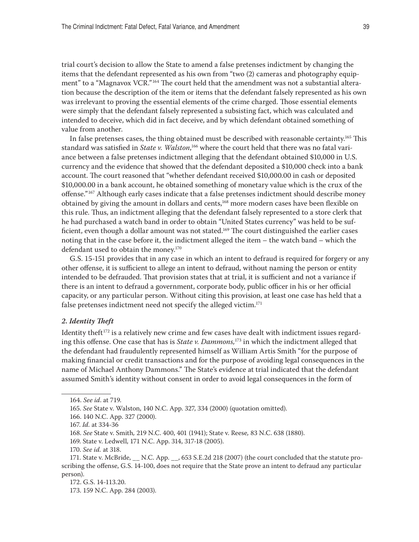<span id="page-38-0"></span>trial court's decision to allow the State to amend a false pretenses indictment by changing the items that the defendant represented as his own from "two (2) cameras and photography equipment" to a "Magnavox VCR."<sup>164</sup> The court held that the amendment was not a substantial alteration because the description of the item or items that the defendant falsely represented as his own was irrelevant to proving the essential elements of the crime charged. Those essential elements were simply that the defendant falsely represented a subsisting fact, which was calculated and intended to deceive, which did in fact deceive, and by which defendant obtained something of value from another.

In false pretenses cases, the thing obtained must be described with reasonable certainty.165 This standard was satisfied in *State v. Walston*, 166 where the court held that there was no fatal variance between a false pretenses indictment alleging that the defendant obtained \$10,000 in U.S. currency and the evidence that showed that the defendant deposited a \$10,000 check into a bank account. The court reasoned that "whether defendant received \$10,000.00 in cash or deposited \$10,000.00 in a bank account, he obtained something of monetary value which is the crux of the offense."167 Although early cases indicate that a false pretenses indictment should describe money obtained by giving the amount in dollars and cents,<sup>168</sup> more modern cases have been flexible on this rule. Thus, an indictment alleging that the defendant falsely represented to a store clerk that he had purchased a watch band in order to obtain "United States currency" was held to be sufficient, even though a dollar amount was not stated.<sup>169</sup> The court distinguished the earlier cases noting that in the case before it, the indictment alleged the item – the watch band – which the defendant used to obtain the money.<sup>170</sup>

G.S. 15-151 provides that in any case in which an intent to defraud is required for forgery or any other offense, it is sufficient to allege an intent to defraud, without naming the person or entity intended to be defrauded. That provision states that at trial, it is sufficient and not a variance if there is an intent to defraud a government, corporate body, public officer in his or her official capacity, or any particular person. Without citing this provision, at least one case has held that a false pretenses indictment need not specify the alleged victim.<sup>171</sup>

#### *2. Identity Theft*

Identity theft<sup>172</sup> is a relatively new crime and few cases have dealt with indictment issues regarding this offense. One case that has is *State v. Dammons,*<sup>173</sup> in which the indictment alleged that the defendant had fraudulently represented himself as William Artis Smith "for the purpose of making financial or credit transactions and for the purpose of avoiding legal consequences in the name of Michael Anthony Dammons." The State's evidence at trial indicated that the defendant assumed Smith's identity without consent in order to avoid legal consequences in the form of

<sup>164.</sup> *See id*. at 719.

<sup>165.</sup> *See* State v. Walston, 140 N.C. App. 327, 334 (2000) (quotation omitted).

<sup>166. 140</sup> N.C. App. 327 (2000).

<sup>167.</sup> *Id.* at 334-36

<sup>168.</sup> *See* State v. Smith*,* 219 N.C. 400, 401 (1941); State v. Reese*,* 83 N.C. 638 (1880).

<sup>169.</sup> State v. Ledwell, 171 N.C. App. 314, 317-18 (2005).

<sup>170.</sup> *See id.* at 318.

<sup>171.</sup> State v. McBride, \_\_ N.C. App. \_\_, 653 S.E.2d 218 (2007) (the court concluded that the statute proscribing the offense, G.S. 14-100, does not require that the State prove an intent to defraud any particular person).

<sup>172.</sup> G.S. 14-113.20.

<sup>173. 159</sup> N.C. App. 284 (2003).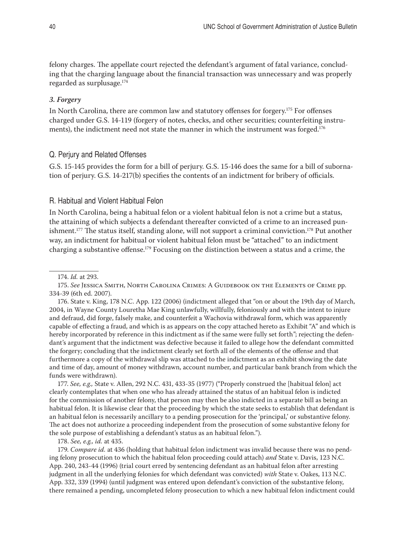<span id="page-39-0"></span>felony charges. The appellate court rejected the defendant's argument of fatal variance, concluding that the charging language about the financial transaction was unnecessary and was properly regarded as surplusage.174

#### *3. Forgery*

In North Carolina, there are common law and statutory offenses for forgery.<sup>175</sup> For offenses charged under G.S. 14-119 (forgery of notes, checks, and other securities; counterfeiting instruments), the indictment need not state the manner in which the instrument was forged.<sup>176</sup>

## Q. Perjury and Related Offenses

G.S. 15-145 provides the form for a bill of perjury. G.S. 15-146 does the same for a bill of subornation of perjury. G.S. 14-217(b) specifies the contents of an indictment for bribery of officials.

## R. Habitual and Violent Habitual Felon

In North Carolina, being a habitual felon or a violent habitual felon is not a crime but a status, the attaining of which subjects a defendant thereafter convicted of a crime to an increased punishment.<sup>177</sup> The status itself, standing alone, will not support a criminal conviction.<sup>178</sup> Put another way, an indictment for habitual or violent habitual felon must be "attached" to an indictment charging a substantive offense.179 Focusing on the distinction between a status and a crime, the

175. *See* Jessica Smith, North Carolina Crimes: A Guidebook on the Elements of Crime pp. 334-39 (6th ed. 2007).

176. State v. King, 178 N.C. App. 122 (2006) (indictment alleged that "on or about the 19th day of March, 2004, in Wayne County Louretha Mae King unlawfully, willfully, feloniously and with the intent to injure and defraud, did forge, falsely make, and counterfeit a Wachovia withdrawal form, which was apparently capable of effecting a fraud, and which is as appears on the copy attached hereto as Exhibit "A" and which is hereby incorporated by reference in this indictment as if the same were fully set forth"; rejecting the defendant's argument that the indictment was defective because it failed to allege how the defendant committed the forgery; concluding that the indictment clearly set forth all of the elements of the offense and that furthermore a copy of the withdrawal slip was attached to the indictment as an exhibit showing the date and time of day, amount of money withdrawn, account number, and particular bank branch from which the funds were withdrawn).

177. *See, e.g.,* State v. Allen, 292 N.C. 431, 433-35 (1977) ("Properly construed the [habitual felon] act clearly contemplates that when one who has already attained the status of an habitual felon is indicted for the commission of another felony, that person may then be also indicted in a separate bill as being an habitual felon. It is likewise clear that the proceeding by which the state seeks to establish that defendant is an habitual felon is necessarily ancillary to a pending prosecution for the 'principal,' or substantive felony. The act does not authorize a proceeding independent from the prosecution of some substantive felony for the sole purpose of establishing a defendant's status as an habitual felon.").

178. *See, e.g., id.* at 435.

179. *Compare id.* at 436 (holding that habitual felon indictment was invalid because there was no pending felony prosecution to which the habitual felon proceeding could attach) *and* State v. Davis, 123 N.C. App. 240, 243-44 (1996) (trial court erred by sentencing defendant as an habitual felon after arresting judgment in all the underlying felonies for which defendant was convicted) *with* State v. Oakes, 113 N.C. App. 332, 339 (1994) (until judgment was entered upon defendant's conviction of the substantive felony, there remained a pending, uncompleted felony prosecution to which a new habitual felon indictment could

<sup>174.</sup> *Id.* at 293.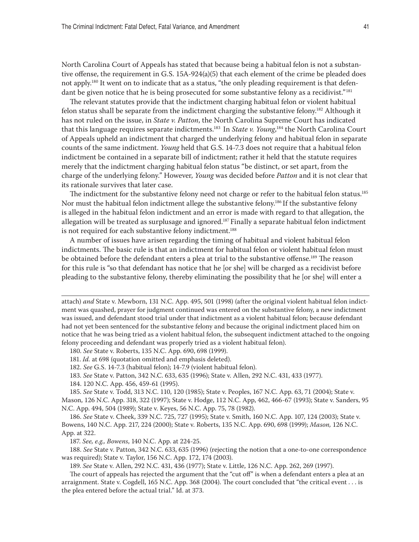<span id="page-40-0"></span>North Carolina Court of Appeals has stated that because being a habitual felon is not a substantive offense, the requirement in G.S. 15A-924(a)(5) that each element of the crime be pleaded does not apply.<sup>180</sup> It went on to indicate that as a status, "the only pleading requirement is that defendant be given notice that he is being prosecuted for some substantive felony as a recidivist."<sup>181</sup>

The relevant statutes provide that the indictment charging habitual felon or violent habitual felon status shall be separate from the indictment charging the substantive felony.182 Although it has not ruled on the issue, in *State v. Patton*, the North Carolina Supreme Court has indicated that this language requires separate indictments.183 In *State v. Young*, 184 the North Carolina Court of Appeals upheld an indictment that charged the underlying felony and habitual felon in separate counts of the same indictment. *Young* held that G.S. 14-7.3 does not require that a habitual felon indictment be contained in a separate bill of indictment; rather it held that the statute requires merely that the indictment charging habitual felon status "be distinct, or set apart, from the charge of the underlying felony." However, *Young* was decided before *Patton* and it is not clear that its rationale survives that later case.

The indictment for the substantive felony need not charge or refer to the habitual felon status.<sup>185</sup> Nor must the habitual felon indictment allege the substantive felony.<sup>186</sup> If the substantive felony is alleged in the habitual felon indictment and an error is made with regard to that allegation, the allegation will be treated as surplusage and ignored.<sup>187</sup> Finally a separate habitual felon indictment is not required for each substantive felony indictment.<sup>188</sup>

A number of issues have arisen regarding the timing of habitual and violent habitual felon indictments. The basic rule is that an indictment for habitual felon or violent habitual felon must be obtained before the defendant enters a plea at trial to the substantive offense.<sup>189</sup> The reason for this rule is "so that defendant has notice that he [or she] will be charged as a recidivist before pleading to the substantive felony, thereby eliminating the possibility that he [or she] will enter a

attach) *and* State v. Mewborn, 131 N.C. App. 495, 501 (1998) (after the original violent habitual felon indictment was quashed, prayer for judgment continued was entered on the substantive felony, a new indictment was issued, and defendant stood trial under that indictment as a violent habitual felon; because defendant had not yet been sentenced for the substantive felony and because the original indictment placed him on notice that he was being tried as a violent habitual felon, the subsequent indictment attached to the ongoing felony proceeding and defendant was properly tried as a violent habitual felon).

180. *See* State v. Roberts, 135 N.C. App. 690, 698 (1999).

181. *Id.* at 698 (quotation omitted and emphasis deleted).

182. *See* G.S. 14-7.3 (habitual felon); 14-7.9 (violent habitual felon).

183. *See* State v. Patton, 342 N.C. 633, 635 (1996); State v. Allen, 292 N.C. 431, 433 (1977).

184. 120 N.C. App. 456, 459-61 (1995).

185. *See* State v. Todd, 313 N.C. 110, 120 (1985); State v. Peoples, 167 N.C. App. 63, 71 (2004); State v. Mason, 126 N.C. App. 318, 322 (1997); State v. Hodge, 112 N.C. App, 462, 466-67 (1993); State v. Sanders, 95 N.C. App. 494, 504 (1989); State v. Keyes, 56 N.C. App. 75, 78 (1982).

186. *See* State v. Cheek, 339 N.C. 725, 727 (1995); State v. Smith, 160 N.C. App. 107, 124 (2003); State v. Bowens, 140 N.C. App. 217, 224 (2000); State v. Roberts, 135 N.C. App. 690, 698 (1999); *Mason,* 126 N.C. App. at 322.

187. *See, e.g., Bowens*, 140 N.C. App. at 224-25.

188. *See* State v. Patton, 342 N.C. 633, 635 (1996) (rejecting the notion that a one-to-one correspondence was required); State v. Taylor, 156 N.C. App. 172, 174 (2003).

189. *See* State v. Allen, 292 N.C. 431, 436 (1977); State v. Little, 126 N.C. App. 262, 269 (1997).

The court of appeals has rejected the argument that the "cut off" is when a defendant enters a plea at an arraignment. State v. Cogdell, 165 N.C. App. 368 (2004). The court concluded that "the critical event . . . is the plea entered before the actual trial." Id. at 373.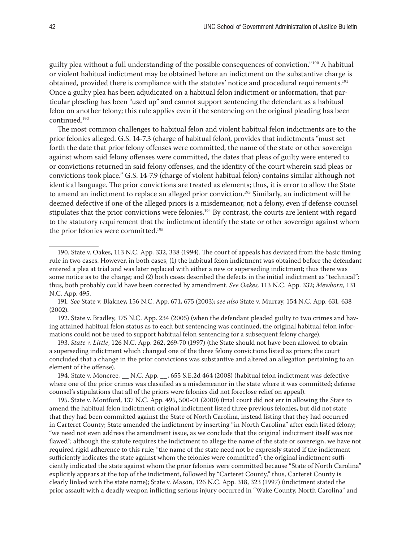guilty plea without a full understanding of the possible consequences of conviction."<sup>190</sup> A habitual or violent habitual indictment may be obtained before an indictment on the substantive charge is obtained, provided there is compliance with the statutes' notice and procedural requirements.<sup>191</sup> Once a guilty plea has been adjudicated on a habitual felon indictment or information, that particular pleading has been "used up" and cannot support sentencing the defendant as a habitual felon on another felony; this rule applies even if the sentencing on the original pleading has been continued.192

The most common challenges to habitual felon and violent habitual felon indictments are to the prior felonies alleged. G.S. 14-7.3 (charge of habitual felon), provides that indictments "must set forth the date that prior felony offenses were committed, the name of the state or other sovereign against whom said felony offenses were committed, the dates that pleas of guilty were entered to or convictions returned in said felony offenses, and the identity of the court wherein said pleas or convictions took place." G.S. 14-7.9 (charge of violent habitual felon) contains similar although not identical language. The prior convictions are treated as elements; thus, it is error to allow the State to amend an indictment to replace an alleged prior conviction.<sup>193</sup> Similarly, an indictment will be deemed defective if one of the alleged priors is a misdemeanor, not a felony, even if defense counsel stipulates that the prior convictions were felonies.194 By contrast, the courts are lenient with regard to the statutory requirement that the indictment identify the state or other sovereign against whom the prior felonies were committed.<sup>195</sup>

191. *See* State v. Blakney, 156 N.C. App. 671, 675 (2003); *see also* State v. Murray, 154 N.C. App. 631, 638 (2002).

192. State v. Bradley, 175 N.C. App. 234 (2005) (when the defendant pleaded guilty to two crimes and having attained habitual felon status as to each but sentencing was continued, the original habitual felon informations could not be used to support habitual felon sentencing for a subsequent felony charge).

193. *State v. Little*, 126 N.C. App. 262, 269-70 (1997) (the State should not have been allowed to obtain a superseding indictment which changed one of the three felony convictions listed as priors; the court concluded that a change in the prior convictions was substantive and altered an allegation pertaining to an element of the offense).

194. State v. Moncree*,* \_\_ N.C. App. \_\_, 655 S.E.2d 464 (2008) (habitual felon indictment was defective where one of the prior crimes was classified as a misdemeanor in the state where it was committed; defense counsel's stipulations that all of the priors were felonies did not foreclose relief on appeal).

195. State v. Montford, 137 N.C. App. 495, 500-01 (2000) (trial court did not err in allowing the State to amend the habitual felon indictment; original indictment listed three previous felonies, but did not state that they had been committed against the State of North Carolina, instead listing that they had occurred in Carteret County; State amended the indictment by inserting "in North Carolina" after each listed felony; "we need not even address the amendment issue, as we conclude that the original indictment itself was not flawed"; although the statute requires the indictment to allege the name of the state or sovereign, we have not required rigid adherence to this rule; "the name of the state need not be expressly stated if the indictment sufficiently indicates the state against whom the felonies were committed"; the original indictment sufficiently indicated the state against whom the prior felonies were committed because "State of North Carolina" explicitly appears at the top of the indictment, followed by "Carteret County," thus, Carteret County is clearly linked with the state name); State v. Mason, 126 N.C. App. 318, 323 (1997) (indictment stated the prior assault with a deadly weapon inflicting serious injury occurred in "Wake County, North Carolina" and

<sup>190.</sup> State v. Oakes, 113 N.C. App. 332, 338 (1994). The court of appeals has deviated from the basic timing rule in two cases. However, in both cases, (1) the habitual felon indictment was obtained before the defendant entered a plea at trial and was later replaced with either a new or superseding indictment; thus there was some notice as to the charge; and (2) both cases described the defects in the initial indictment as "technical"; thus, both probably could have been corrected by amendment. *See Oakes,* 113 N.C. App. 332; *Mewborn*, 131 N.C. App. 495.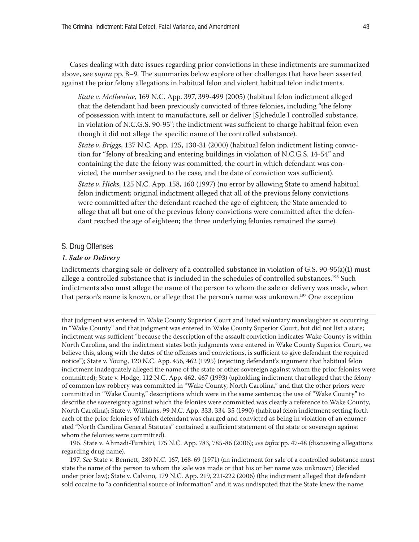Cases dealing with date issues regarding prior convictions in these indictments are summarized above, see *supra* pp. 8–9. The summaries below explore other challenges that have been asserted against the prior felony allegations in habitual felon and violent habitual felon indictments.

*State v. McIlwaine,* 169 N.C. App. 397, 399-499 (2005) (habitual felon indictment alleged that the defendant had been previously convicted of three felonies, including "the felony of possession with intent to manufacture, sell or deliver [S]chedule I controlled substance, in violation of N.C.G.S. 90-95"; the indictment was sufficient to charge habitual felon even though it did not allege the specific name of the controlled substance).

*State v. Briggs*, 137 N.C. App. 125, 130-31 (2000) (habitual felon indictment listing conviction for "felony of breaking and entering buildings in violation of N.C.G.S. 14-54" and containing the date the felony was committed, the court in which defendant was convicted, the number assigned to the case, and the date of conviction was sufficient).

*State v. Hicks*, 125 N.C. App. 158, 160 (1997) (no error by allowing State to amend habitual felon indictment; original indictment alleged that all of the previous felony convictions were committed after the defendant reached the age of eighteen; the State amended to allege that all but one of the previous felony convictions were committed after the defendant reached the age of eighteen; the three underlying felonies remained the same).

#### S. Drug Offenses

#### *1. Sale or Delivery*

Indictments charging sale or delivery of a controlled substance in violation of G.S. 90-95(a)(1) must allege a controlled substance that is included in the schedules of controlled substances.<sup>196</sup> Such indictments also must allege the name of the person to whom the sale or delivery was made, when that person's name is known, or allege that the person's name was unknown.<sup>197</sup> One exception

that judgment was entered in Wake County Superior Court and listed voluntary manslaughter as occurring in "Wake County" and that judgment was entered in Wake County Superior Court, but did not list a state; indictment was sufficient "because the description of the assault conviction indicates Wake County is within North Carolina, and the indictment states both judgments were entered in Wake County Superior Court, we believe this, along with the dates of the offenses and convictions, is sufficient to give defendant the required notice"); State v. Young, 120 N.C. App. 456, 462 (1995) (rejecting defendant's argument that habitual felon indictment inadequately alleged the name of the state or other sovereign against whom the prior felonies were committed); State v. Hodge, 112 N.C. App. 462, 467 (1993) (upholding indictment that alleged that the felony of common law robbery was committed in "Wake County, North Carolina," and that the other priors were committed in "Wake County," descriptions which were in the same sentence; the use of "Wake County" to describe the sovereignty against which the felonies were committed was clearly a reference to Wake County, North Carolina); State v. Williams, 99 N.C. App. 333, 334-35 (1990) (habitual felon indictment setting forth each of the prior felonies of which defendant was charged and convicted as being in violation of an enumerated "North Carolina General Statutes" contained a sufficient statement of the state or sovereign against whom the felonies were committed).

196. State v. Ahmadi-Turshizi, 175 N.C. App. 783, 785-86 (2006); *see infra* pp. 47-48 (discussing allegations regarding drug name).

197. *See* State v. Bennett, 280 N.C. 167, 168-69 (1971) (an indictment for sale of a controlled substance must state the name of the person to whom the sale was made or that his or her name was unknown) (decided under prior law); State v. Calvino, 179 N.C. App. 219, 221-222 (2006) (the indictment alleged that defendant sold cocaine to "a confidential source of information" and it was undisputed that the State knew the name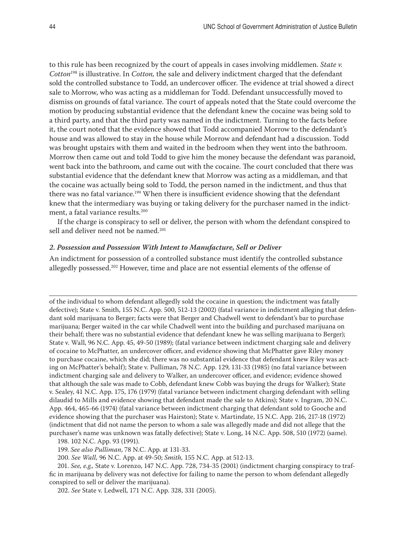<span id="page-43-0"></span>to this rule has been recognized by the court of appeals in cases involving middlemen. *State v. Cotton*<sup>198</sup> is illustrative. In *Cotton,* the sale and delivery indictment charged that the defendant sold the controlled substance to Todd, an undercover officer. The evidence at trial showed a direct sale to Morrow, who was acting as a middleman for Todd. Defendant unsuccessfully moved to dismiss on grounds of fatal variance. The court of appeals noted that the State could overcome the motion by producing substantial evidence that the defendant knew the cocaine was being sold to a third party, and that the third party was named in the indictment. Turning to the facts before it, the court noted that the evidence showed that Todd accompanied Morrow to the defendant's house and was allowed to stay in the house while Morrow and defendant had a discussion. Todd was brought upstairs with them and waited in the bedroom when they went into the bathroom. Morrow then came out and told Todd to give him the money because the defendant was paranoid, went back into the bathroom, and came out with the cocaine. The court concluded that there was substantial evidence that the defendant knew that Morrow was acting as a middleman, and that the cocaine was actually being sold to Todd, the person named in the indictment, and thus that there was no fatal variance.<sup>199</sup> When there is insufficient evidence showing that the defendant knew that the intermediary was buying or taking delivery for the purchaser named in the indictment, a fatal variance results.<sup>200</sup>

If the charge is conspiracy to sell or deliver, the person with whom the defendant conspired to sell and deliver need not be named.<sup>201</sup>

#### *2. Possession and Possession With Intent to Manufacture, Sell or Deliver*

An indictment for possession of a controlled substance must identify the controlled substance allegedly possessed.202 However, time and place are not essential elements of the offense of

of the individual to whom defendant allegedly sold the cocaine in question; the indictment was fatally defective); State v. Smith, 155 N.C. App. 500, 512-13 (2002) (fatal variance in indictment alleging that defendant sold marijuana to Berger; facts were that Berger and Chadwell went to defendant's bar to purchase marijuana; Berger waited in the car while Chadwell went into the building and purchased marijuana on their behalf; there was no substantial evidence that defendant knew he was selling marijuana to Berger); State v. Wall, 96 N.C. App. 45, 49-50 (1989); (fatal variance between indictment charging sale and delivery of cocaine to McPhatter, an undercover officer, and evidence showing that McPhatter gave Riley money to purchase cocaine, which she did; there was no substantial evidence that defendant knew Riley was acting on McPhatter's behalf); State v. Pulliman, 78 N.C. App. 129, 131-33 (1985) (no fatal variance between indictment charging sale and delivery to Walker, an undercover officer, and evidence; evidence showed that although the sale was made to Cobb, defendant knew Cobb was buying the drugs for Walker); State v. Sealey, 41 N.C. App. 175, 176 (1979) (fatal variance between indictment charging defendant with selling dilaudid to Mills and evidence showing that defendant made the sale to Atkins); State v. Ingram, 20 N.C. App. 464, 465-66 (1974) (fatal variance between indictment charging that defendant sold to Gooche and evidence showing that the purchaser was Hairston); State v. Martindate, 15 N.C. App. 216, 217-18 (1972) (indictment that did not name the person to whom a sale was allegedly made and did not allege that the purchaser's name was unknown was fatally defective); State v. Long, 14 N.C. App. 508, 510 (1972) (same).

198. 102 N.C. App. 93 (1991).

199. *See also Pulliman*, 78 N.C. App. at 131-33.

200. *See Wall,* 96 N.C. App. at 49-50; *Smith,* 155 N.C. App. at 512-13.

201. *See, e.g.,* State v. Lorenzo, 147 N.C. App. 728, 734-35 (2001) (indictment charging conspiracy to traffic in marijuana by delivery was not defective for failing to name the person to whom defendant allegedly conspired to sell or deliver the marijuana).

202. *See* State v. Ledwell, 171 N.C. App. 328, 331 (2005).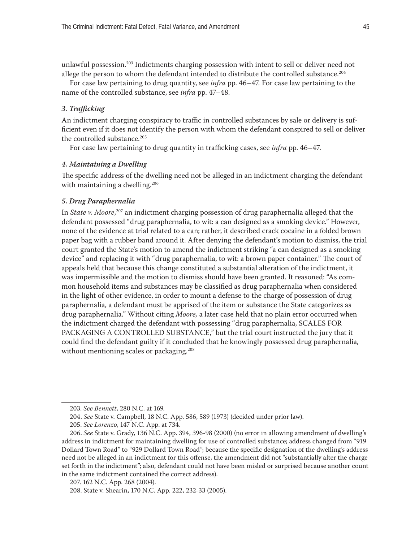<span id="page-44-0"></span>unlawful possession.203 Indictments charging possession with intent to sell or deliver need not allege the person to whom the defendant intended to distribute the controlled substance.<sup>204</sup>

For case law pertaining to drug quantity, see *infra* pp. 46–47*.* For case law pertaining to the name of the controlled substance, see *infra* pp. 47–48.

#### *3. Trafficking*

An indictment charging conspiracy to traffic in controlled substances by sale or delivery is sufficient even if it does not identify the person with whom the defendant conspired to sell or deliver the controlled substance.<sup>205</sup>

For case law pertaining to drug quantity in trafficking cases, see *infra* pp. 46–47.

#### *4. Maintaining a Dwelling*

The specific address of the dwelling need not be alleged in an indictment charging the defendant with maintaining a dwelling.<sup>206</sup>

## *5. Drug Paraphernalia*

In *State v. Moore*, 207 an indictment charging possession of drug paraphernalia alleged that the defendant possessed "drug paraphernalia, to wit: a can designed as a smoking device." However, none of the evidence at trial related to a can; rather, it described crack cocaine in a folded brown paper bag with a rubber band around it. After denying the defendant's motion to dismiss, the trial court granted the State's motion to amend the indictment striking "a can designed as a smoking device" and replacing it with "drug paraphernalia, to wit: a brown paper container." The court of appeals held that because this change constituted a substantial alteration of the indictment, it was impermissible and the motion to dismiss should have been granted. It reasoned: "As common household items and substances may be classified as drug paraphernalia when considered in the light of other evidence, in order to mount a defense to the charge of possession of drug paraphernalia, a defendant must be apprised of the item or substance the State categorizes as drug paraphernalia." Without citing *Moore,* a later case held that no plain error occurred when the indictment charged the defendant with possessing "drug paraphernalia, SCALES FOR PACKAGING A CONTROLLED SUBSTANCE," but the trial court instructed the jury that it could find the defendant guilty if it concluded that he knowingly possessed drug paraphernalia, without mentioning scales or packaging.<sup>208</sup>

<sup>203.</sup> *See Bennett*, 280 N.C. at 169.

<sup>204.</sup> *See* State v. Campbell, 18 N.C. App. 586, 589 (1973) (decided under prior law).

<sup>205.</sup> *See Lorenzo*, 147 N.C. App. at 734.

<sup>206.</sup> *See* State v. Grady, 136 N.C. App. 394, 396-98 (2000) (no error in allowing amendment of dwelling's address in indictment for maintaining dwelling for use of controlled substance; address changed from "919 Dollard Town Road" to "929 Dollard Town Road"; because the specific designation of the dwelling's address need not be alleged in an indictment for this offense, the amendment did not "substantially alter the charge set forth in the indictment"; also, defendant could not have been misled or surprised because another count in the same indictment contained the correct address).

<sup>207. 162</sup> N.C. App. 268 (2004).

<sup>208.</sup> State v. Shearin, 170 N.C. App. 222, 232-33 (2005).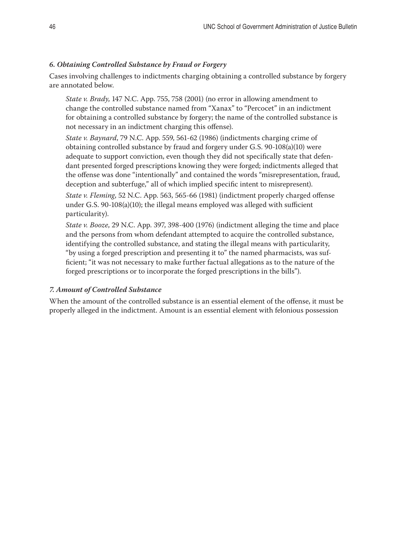# <span id="page-45-0"></span>*6. Obtaining Controlled Substance by Fraud or Forgery*

Cases involving challenges to indictments charging obtaining a controlled substance by forgery are annotated below.

*State v. Brady*, 147 N.C. App. 755, 758 (2001) (no error in allowing amendment to change the controlled substance named from "Xanax" to "Percocet" in an indictment for obtaining a controlled substance by forgery; the name of the controlled substance is not necessary in an indictment charging this offense).

*State v. Baynard*, 79 N.C. App. 559, 561-62 (1986) (indictments charging crime of obtaining controlled substance by fraud and forgery under G.S. 90-108(a)(10) were adequate to support conviction, even though they did not specifically state that defendant presented forged prescriptions knowing they were forged; indictments alleged that the offense was done "intentionally" and contained the words "misrepresentation, fraud, deception and subterfuge," all of which implied specific intent to misrepresent).

*State v. Fleming*, 52 N.C. App. 563, 565-66 (1981) (indictment properly charged offense under G.S. 90-108(a)(10); the illegal means employed was alleged with sufficient particularity).

*State v. Booze*, 29 N.C. App. 397, 398-400 (1976) (indictment alleging the time and place and the persons from whom defendant attempted to acquire the controlled substance, identifying the controlled substance, and stating the illegal means with particularity, "by using a forged prescription and presenting it to" the named pharmacists, was sufficient; "it was not necessary to make further factual allegations as to the nature of the forged prescriptions or to incorporate the forged prescriptions in the bills").

# *7. Amount of Controlled Substance*

When the amount of the controlled substance is an essential element of the offense, it must be properly alleged in the indictment. Amount is an essential element with felonious possession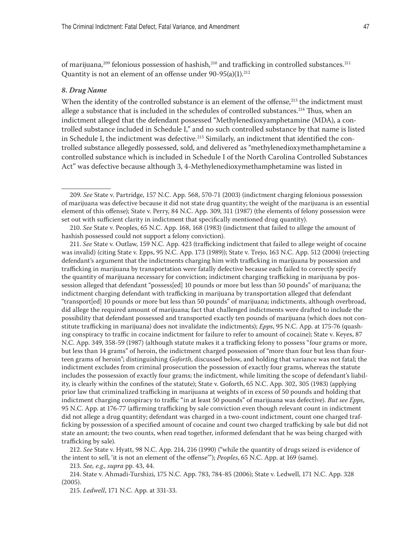<span id="page-46-0"></span>of marijuana,<sup>209</sup> felonious possession of hashish,<sup>210</sup> and trafficking in controlled substances.<sup>211</sup> Quantity is not an element of an offense under  $90-95(a)(1).^{212}$ 

#### *8. Drug Name*

When the identity of the controlled substance is an element of the offense,<sup>213</sup> the indictment must allege a substance that is included in the schedules of controlled substances.<sup>214</sup> Thus, when an indictment alleged that the defendant possessed "Methylenedioxyamphetamine (MDA), a controlled substance included in Schedule I," and no such controlled substance by that name is listed in Schedule I, the indictment was defective.<sup>215</sup> Similarly, an indictment that identified the controlled substance allegedly possessed, sold, and delivered as "methylenedioxymethamphetamine a controlled substance which is included in Schedule I of the North Carolina Controlled Substances Act" was defective because although 3, 4-Methylenedioxymethamphetamine was listed in

211. *See* State v. Outlaw, 159 N.C. App. 423 (trafficking indictment that failed to allege weight of cocaine was invalid) (citing State v. Epps, 95 N.C. App. 173 (1989)); State v. Trejo, 163 N.C. App. 512 (2004) (rejecting defendant's argument that the indictments charging him with trafficking in marijuana by possession and trafficking in marijuana by transportation were fatally defective because each failed to correctly specify the quantity of marijuana necessary for conviction; indictment charging trafficking in marijuana by possession alleged that defendant "possess[ed] 10 pounds or more but less than 50 pounds" of marijuana; the indictment charging defendant with trafficking in marijuana by transportation alleged that defendant "transport[ed] 10 pounds or more but less than 50 pounds" of marijuana; indictments, although overbroad, did allege the required amount of marijuana; fact that challenged indictments were drafted to include the possibility that defendant possessed and transported exactly ten pounds of marijuana (which does not constitute trafficking in marijuana) does not invalidate the indictments); *Epps*, 95 N.C. App. at 175-76 (quashing conspiracy to traffic in cocaine indictment for failure to refer to amount of cocaine); State v. Keyes, 87 N.C. App. 349, 358-59 (1987) (although statute makes it a trafficking felony to possess "four grams or more, but less than 14 grams" of heroin, the indictment charged possession of "more than four but less than fourteen grams of heroin"; distinguishing *Goforth*, discussed below, and holding that variance was not fatal; the indictment excludes from criminal prosecution the possession of exactly four grams, whereas the statute includes the possession of exactly four grams; the indictment, while limiting the scope of defendant's liability, is clearly within the confines of the statute); State v. Goforth, 65 N.C. App. 302, 305 (1983) (applying prior law that criminalized trafficking in marijuana at weights of in excess of 50 pounds and holding that indictment charging conspiracy to traffic "in at least 50 pounds" of marijuana was defective). *But see Epps*, 95 N.C. App. at 176-77 (affirming trafficking by sale conviction even though relevant count in indictment did not allege a drug quantity; defendant was charged in a two-count indictment, count one charged trafficking by possession of a specified amount of cocaine and count two charged trafficking by sale but did not state an amount; the two counts, when read together, informed defendant that he was being charged with trafficking by sale).

212. *See* State v. Hyatt, 98 N.C. App. 214, 216 (1990) ("while the quantity of drugs seized is evidence of the intent to sell, 'it is not an element of the offense'"); *Peoples*, 65 N.C. App. at 169 (same).

213. *See, e.g., supra* pp. 43, 44.

214. State v. Ahmadi-Turshizi, 175 N.C. App. 783, 784-85 (2006); State v. Ledwell, 171 N.C. App. 328 (2005).

215. *Ledwell*, 171 N.C. App. at 331-33.

<sup>209.</sup> *See* State v. Partridge, 157 N.C. App. 568, 570-71 (2003) (indictment charging felonious possession of marijuana was defective because it did not state drug quantity; the weight of the marijuana is an essential element of this offense); State v. Perry, 84 N.C. App. 309, 311 (1987) (the elements of felony possession were set out with sufficient clarity in indictment that specifically mentioned drug quantity).

<sup>210.</sup> *See* State v. Peoples, 65 N.C. App. 168, 168 (1983) (indictment that failed to allege the amount of hashish possessed could not support a felony conviction).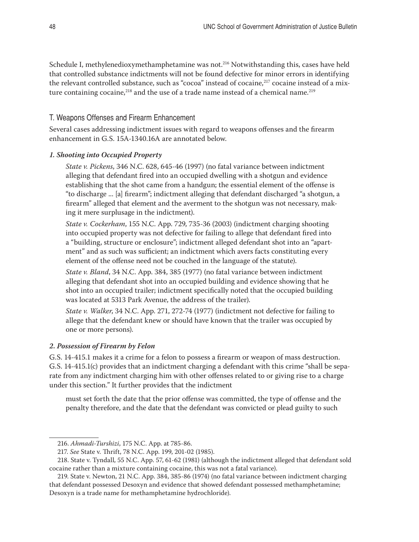<span id="page-47-0"></span>Schedule I, methylenedioxymethamphetamine was not.216 Notwithstanding this, cases have held that controlled substance indictments will not be found defective for minor errors in identifying the relevant controlled substance, such as "cocoa" instead of cocaine,<sup>217</sup> cocaine instead of a mixture containing cocaine, $218$  and the use of a trade name instead of a chemical name. $219$ 

# T. Weapons Offenses and Firearm Enhancement

Several cases addressing indictment issues with regard to weapons offenses and the firearm enhancement in G.S. 15A-1340.16A are annotated below.

# *1. Shooting into Occupied Property*

*State v. Pickens*, 346 N.C. 628, 645-46 (1997) (no fatal variance between indictment alleging that defendant fired into an occupied dwelling with a shotgun and evidence establishing that the shot came from a handgun; the essential element of the offense is "to discharge ... [a] firearm"; indictment alleging that defendant discharged "a shotgun, a firearm" alleged that element and the averment to the shotgun was not necessary, making it mere surplusage in the indictment).

*State v. Cockerham*, 155 N.C. App. 729, 735-36 (2003) (indictment charging shooting into occupied property was not defective for failing to allege that defendant fired into a "building, structure or enclosure"; indictment alleged defendant shot into an "apartment" and as such was sufficient; an indictment which avers facts constituting every element of the offense need not be couched in the language of the statute).

*State v. Bland*, 34 N.C. App. 384, 385 (1977) (no fatal variance between indictment alleging that defendant shot into an occupied building and evidence showing that he shot into an occupied trailer; indictment specifically noted that the occupied building was located at 5313 Park Avenue, the address of the trailer).

*State v. Walker*, 34 N.C. App. 271, 272-74 (1977) (indictment not defective for failing to allege that the defendant knew or should have known that the trailer was occupied by one or more persons).

# *2. Possession of Firearm by Felon*

G.S. 14-415.1 makes it a crime for a felon to possess a firearm or weapon of mass destruction. G.S. 14-415.1(c) provides that an indictment charging a defendant with this crime "shall be separate from any indictment charging him with other offenses related to or giving rise to a charge under this section." It further provides that the indictment

must set forth the date that the prior offense was committed, the type of offense and the penalty therefore, and the date that the defendant was convicted or plead guilty to such

<sup>216.</sup> *Ahmadi-Turshizi*, 175 N.C. App. at 785-86.

<sup>217.</sup> *See* State v. Thrift, 78 N.C. App. 199, 201-02 (1985).

<sup>218.</sup> State v. Tyndall, 55 N.C. App. 57, 61-62 (1981) (although the indictment alleged that defendant sold cocaine rather than a mixture containing cocaine, this was not a fatal variance).

<sup>219.</sup> State v. Newton, 21 N.C. App. 384, 385-86 (1974) (no fatal variance between indictment charging that defendant possessed Desoxyn and evidence that showed defendant possessed methamphetamine; Desoxyn is a trade name for methamphetamine hydrochloride).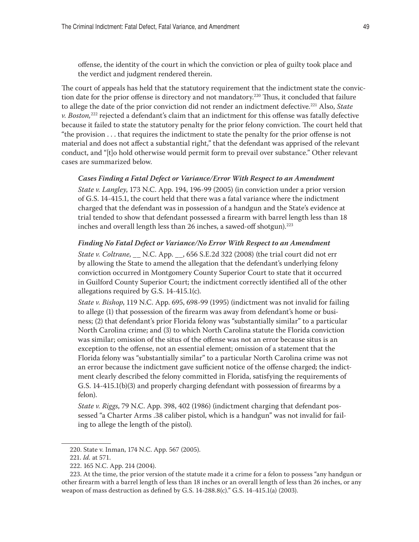offense, the identity of the court in which the conviction or plea of guilty took place and the verdict and judgment rendered therein.

The court of appeals has held that the statutory requirement that the indictment state the conviction date for the prior offense is directory and not mandatory.<sup>220</sup> Thus, it concluded that failure to allege the date of the prior conviction did not render an indictment defective.221 Also, *State v. Boston,*<sup>222</sup> rejected a defendant's claim that an indictment for this offense was fatally defective because it failed to state the statutory penalty for the prior felony conviction. The court held that "the provision . . . that requires the indictment to state the penalty for the prior offense is not material and does not affect a substantial right," that the defendant was apprised of the relevant conduct, and "[t]o hold otherwise would permit form to prevail over substance." Other relevant cases are summarized below.

#### *Cases Finding a Fatal Defect or Variance/Error With Respect to an Amendment*

*State v. Langley*, 173 N.C. App. 194, 196-99 (2005) (in conviction under a prior version of G.S. 14-415.1, the court held that there was a fatal variance where the indictment charged that the defendant was in possession of a handgun and the State's evidence at trial tended to show that defendant possessed a firearm with barrel length less than 18 inches and overall length less than 26 inches, a sawed-off shotgun).<sup>223</sup>

#### *Finding No Fatal Defect or Variance/No Error With Respect to an Amendment*

*State v. Coltrane,* N.C. App. , 656 S.E.2d 322 (2008) (the trial court did not err by allowing the State to amend the allegation that the defendant's underlying felony conviction occurred in Montgomery County Superior Court to state that it occurred in Guilford County Superior Court; the indictment correctly identified all of the other allegations required by G.S. 14-415.1(c).

*State v. Bishop*, 119 N.C. App. 695, 698-99 (1995) (indictment was not invalid for failing to allege (1) that possession of the firearm was away from defendant's home or business; (2) that defendant's prior Florida felony was "substantially similar" to a particular North Carolina crime; and (3) to which North Carolina statute the Florida conviction was similar; omission of the situs of the offense was not an error because situs is an exception to the offense, not an essential element; omission of a statement that the Florida felony was "substantially similar" to a particular North Carolina crime was not an error because the indictment gave sufficient notice of the offense charged; the indictment clearly described the felony committed in Florida, satisfying the requirements of G.S. 14-415.1(b)(3) and properly charging defendant with possession of firearms by a felon).

*State v. Riggs*, 79 N.C. App. 398, 402 (1986) (indictment charging that defendant possessed "a Charter Arms .38 caliber pistol, which is a handgun" was not invalid for failing to allege the length of the pistol).

<sup>220.</sup> State v. Inman, 174 N.C. App. 567 (2005).

<sup>221.</sup> *Id.* at 571.

<sup>222. 165</sup> N.C. App. 214 (2004).

<sup>223.</sup> At the time, the prior version of the statute made it a crime for a felon to possess "any handgun or other firearm with a barrel length of less than 18 inches or an overall length of less than 26 inches, or any weapon of mass destruction as defined by G.S. 14-288.8(c)." G.S. 14-415.1(a) (2003).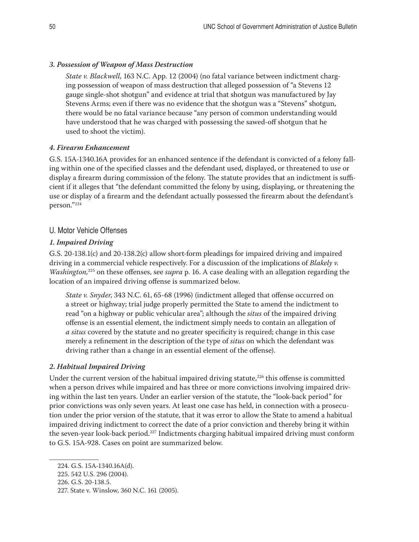# <span id="page-49-0"></span>*3. Possession of Weapon of Mass Destruction*

*State v. Blackwell*, 163 N.C. App. 12 (2004) (no fatal variance between indictment charging possession of weapon of mass destruction that alleged possession of "a Stevens 12 gauge single-shot shotgun" and evidence at trial that shotgun was manufactured by Jay Stevens Arms; even if there was no evidence that the shotgun was a "Stevens" shotgun, there would be no fatal variance because "any person of common understanding would have understood that he was charged with possessing the sawed-off shotgun that he used to shoot the victim).

# *4. Firearm Enhancement*

G.S. 15A-1340.16A provides for an enhanced sentence if the defendant is convicted of a felony falling within one of the specified classes and the defendant used, displayed, or threatened to use or display a firearm during commission of the felony. The statute provides that an indictment is sufficient if it alleges that "the defendant committed the felony by using, displaying, or threatening the use or display of a firearm and the defendant actually possessed the firearm about the defendant's person."224

# U. Motor Vehicle Offenses

# *1. Impaired Driving*

G.S. 20-138.1(c) and 20-138.2(c) allow short-form pleadings for impaired driving and impaired driving in a commercial vehicle respectively. For a discussion of the implications of *Blakely v. Washington,*<sup>225</sup> on these offenses, see *supra* p. 16. A case dealing with an allegation regarding the location of an impaired driving offense is summarized below.

*State v. Snyder*, 343 N.C. 61, 65-68 (1996) (indictment alleged that offense occurred on a street or highway; trial judge properly permitted the State to amend the indictment to read "on a highway or public vehicular area"; although the *situs* of the impaired driving offense is an essential element, the indictment simply needs to contain an allegation of *a situs* covered by the statute and no greater specificity is required; change in this case merely a refinement in the description of the type of *situs* on which the defendant was driving rather than a change in an essential element of the offense).

# *2. Habitual Impaired Driving*

Under the current version of the habitual impaired driving statute, $226$  this offense is committed when a person drives while impaired and has three or more convictions involving impaired driving within the last ten years. Under an earlier version of the statute, the "look-back period" for prior convictions was only seven years. At least one case has held, in connection with a prosecution under the prior version of the statute, that it was error to allow the State to amend a habitual impaired driving indictment to correct the date of a prior conviction and thereby bring it within the seven-year look-back period.<sup>227</sup> Indictments charging habitual impaired driving must conform to G.S. 15A-928. Cases on point are summarized below.

<sup>224.</sup> G.S. 15A-1340.16A(d).

<sup>225. 542</sup> U.S. 296 (2004).

<sup>226.</sup> G.S. 20-138.5.

<sup>227.</sup> State v. Winslow, 360 N.C. 161 (2005).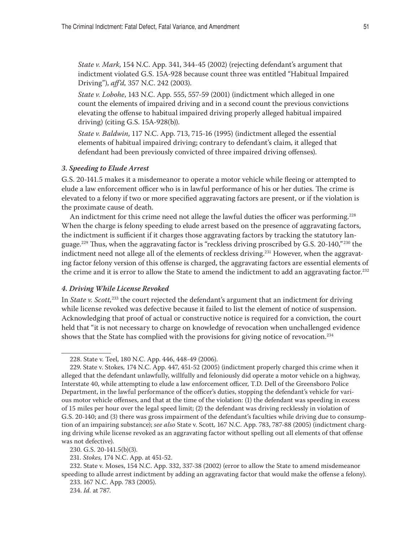<span id="page-50-0"></span>*State v. Mark*, 154 N.C. App. 341, 344-45 (2002) (rejecting defendant's argument that indictment violated G.S. 15A-928 because count three was entitled "Habitual Impaired Driving"), *aff'd,* 357 N.C. 242 (2003).

*State v. Lobohe*, 143 N.C. App. 555, 557-59 (2001) (indictment which alleged in one count the elements of impaired driving and in a second count the previous convictions elevating the offense to habitual impaired driving properly alleged habitual impaired driving) (citing G.S. 15A-928(b)).

*State v. Baldwin*, 117 N.C. App. 713, 715-16 (1995) (indictment alleged the essential elements of habitual impaired driving; contrary to defendant's claim, it alleged that defendant had been previously convicted of three impaired driving offenses).

#### *3. Speeding to Elude Arrest*

G.S. 20-141.5 makes it a misdemeanor to operate a motor vehicle while fleeing or attempted to elude a law enforcement officer who is in lawful performance of his or her duties. The crime is elevated to a felony if two or more specified aggravating factors are present, or if the violation is the proximate cause of death.

An indictment for this crime need not allege the lawful duties the officer was performing.<sup>228</sup> When the charge is felony speeding to elude arrest based on the presence of aggravating factors, the indictment is sufficient if it charges those aggravating factors by tracking the statutory language.<sup>229</sup> Thus, when the aggravating factor is "reckless driving proscribed by G.S. 20-140,"<sup>230</sup> the indictment need not allege all of the elements of reckless driving.<sup>231</sup> However, when the aggravating factor felony version of this offense is charged, the aggravating factors are essential elements of the crime and it is error to allow the State to amend the indictment to add an aggravating factor.<sup>232</sup>

#### *4. Driving While License Revoked*

In *State v. Scott,*<sup>233</sup> the court rejected the defendant's argument that an indictment for driving while license revoked was defective because it failed to list the element of notice of suspension. Acknowledging that proof of actual or constructive notice is required for a conviction, the court held that "it is not necessary to charge on knowledge of revocation when unchallenged evidence shows that the State has complied with the provisions for giving notice of revocation.<sup>234</sup>

<sup>228.</sup> State v. Teel, 180 N.C. App. 446, 448-49 (2006).

<sup>229.</sup> State v. Stokes*,* 174 N.C. App. 447, 451-52 (2005) (indictment properly charged this crime when it alleged that the defendant unlawfully, willfully and feloniously did operate a motor vehicle on a highway, Interstate 40, while attempting to elude a law enforcement officer, T.D. Dell of the Greensboro Police Department, in the lawful performance of the officer's duties, stopping the defendant's vehicle for various motor vehicle offenses, and that at the time of the violation: (1) the defendant was speeding in excess of 15 miles per hour over the legal speed limit; (2) the defendant was driving recklessly in violation of G.S. 20-140; and (3) there was gross impairment of the defendant's faculties while driving due to consumption of an impairing substance); *see also* State v. Scott*,* 167 N.C. App. 783, 787-88 (2005) (indictment charging driving while license revoked as an aggravating factor without spelling out all elements of that offense was not defective).

<sup>230.</sup> G.S. 20-141.5(b)(3).

<sup>231.</sup> *Stokes,* 174 N.C. App. at 451-52.

<sup>232.</sup> State v. Moses, 154 N.C. App. 332, 337-38 (2002) (error to allow the State to amend misdemeanor speeding to allude arrest indictment by adding an aggravating factor that would make the offense a felony).

<sup>233. 167</sup> N.C. App. 783 (2005).

<sup>234.</sup> *Id.* at 787.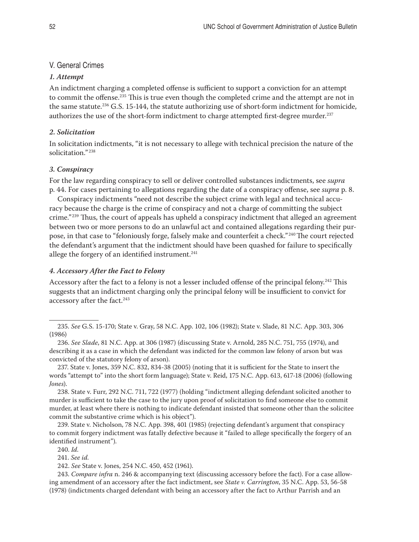# <span id="page-51-0"></span>V. General Crimes

#### *1. Attempt*

An indictment charging a completed offense is sufficient to support a conviction for an attempt to commit the offense.235 This is true even though the completed crime and the attempt are not in the same statute.<sup>236</sup> G.S. 15-144, the statute authorizing use of short-form indictment for homicide, authorizes the use of the short-form indictment to charge attempted first-degree murder.<sup>237</sup>

# *2. Solicitation*

In solicitation indictments, "it is not necessary to allege with technical precision the nature of the solicitation." <sup>238</sup>

## *3. Conspiracy*

For the law regarding conspiracy to sell or deliver controlled substances indictments, see *supra* p. 44. For cases pertaining to allegations regarding the date of a conspiracy offense, see *supra* p. 8.

Conspiracy indictments "need not describe the subject crime with legal and technical accuracy because the charge is the crime of conspiracy and not a charge of committing the subject crime."<sup>239</sup> Thus, the court of appeals has upheld a conspiracy indictment that alleged an agreement between two or more persons to do an unlawful act and contained allegations regarding their purpose, in that case to "feloniously forge, falsely make and counterfeit a check." 240 The court rejected the defendant's argument that the indictment should have been quashed for failure to specifically allege the forgery of an identified instrument.<sup>241</sup>

#### *4. Accessory After the Fact to Felony*

Accessory after the fact to a felony is not a lesser included offense of the principal felony.242 This suggests that an indictment charging only the principal felony will be insufficient to convict for accessory after the fact.<sup>243</sup>

239. State v. Nicholson, 78 N.C. App. 398, 401 (1985) (rejecting defendant's argument that conspiracy to commit forgery indictment was fatally defective because it "failed to allege specifically the forgery of an identified instrument").

243. *Compare infra* n. 246 & accompanying text (discussing accessory before the fact). For a case allowing amendment of an accessory after the fact indictment, see *State v. Carrington*, 35 N.C. App. 53, 56-58 (1978) (indictments charged defendant with being an accessory after the fact to Arthur Parrish and an

<sup>235.</sup> *See* G.S. 15-170; State v. Gray, 58 N.C. App. 102, 106 (1982); State v. Slade, 81 N.C. App. 303, 306 (1986)

<sup>236.</sup> *See Slade*, 81 N.C. App. at 306 (1987) (discussing State v. Arnold, 285 N.C. 751, 755 (1974), and describing it as a case in which the defendant was indicted for the common law felony of arson but was convicted of the statutory felony of arson).

<sup>237.</sup> State v. Jones, 359 N.C. 832, 834-38 (2005) (noting that it is sufficient for the State to insert the words "attempt to" into the short form language); State v. Reid, 175 N.C. App. 613, 617-18 (2006) (following *Jones*).

<sup>238.</sup> State v. Furr, 292 N.C. 711, 722 (1977) (holding "indictment alleging defendant solicited another to murder is sufficient to take the case to the jury upon proof of solicitation to find someone else to commit murder, at least where there is nothing to indicate defendant insisted that someone other than the solicitee commit the substantive crime which is his object").

<sup>240.</sup> *Id.*

<sup>241.</sup> *See id.*

<sup>242.</sup> *See* State v. Jones, 254 N.C. 450, 452 (1961).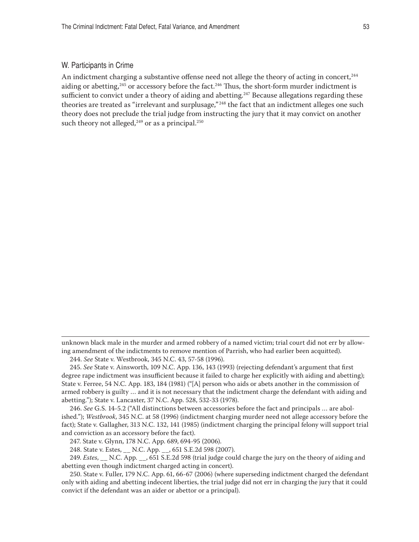## <span id="page-52-0"></span>W. Participants in Crime

An indictment charging a substantive offense need not allege the theory of acting in concert, <sup>244</sup> aiding or abetting, $245$  or accessory before the fact. $246$  Thus, the short-form murder indictment is sufficient to convict under a theory of aiding and abetting.<sup>247</sup> Because allegations regarding these theories are treated as "irrelevant and surplusage,"<sup>248</sup> the fact that an indictment alleges one such theory does not preclude the trial judge from instructing the jury that it may convict on another such theory not alleged,  $249$  or as a principal.  $250$ 

unknown black male in the murder and armed robbery of a named victim; trial court did not err by allowing amendment of the indictments to remove mention of Parrish, who had earlier been acquitted).

244. *See* State v. Westbrook, 345 N.C. 43, 57-58 (1996).

245. *See* State v. Ainsworth, 109 N.C. App. 136, 143 (1993) (rejecting defendant's argument that first degree rape indictment was insufficient because it failed to charge her explicitly with aiding and abetting); State v. Ferree, 54 N.C. App. 183, 184 (1981) ("[A] person who aids or abets another in the commission of armed robbery is guilty … and it is not necessary that the indictment charge the defendant with aiding and abetting."); State v. Lancaster, 37 N.C. App. 528, 532-33 (1978).

246. *See* G.S. 14-5.2 ("All distinctions between accessories before the fact and principals … are abolished."); *Westbrook*, 345 N.C. at 58 (1996) (indictment charging murder need not allege accessory before the fact); State v. Gallagher, 313 N.C. 132, 141 (1985) (indictment charging the principal felony will support trial and conviction as an accessory before the fact).

247. State v. Glynn, 178 N.C. App. 689, 694-95 (2006).

248. State v. Estes, N.C. App. , 651 S.E.2d 598 (2007).

249. *Estes*, \_\_ N.C. App. \_\_, 651 S.E.2d 598 (trial judge could charge the jury on the theory of aiding and abetting even though indictment charged acting in concert).

250. State v. Fuller, 179 N.C. App. 61, 66-67 (2006) (where superseding indictment charged the defendant only with aiding and abetting indecent liberties, the trial judge did not err in charging the jury that it could convict if the defendant was an aider or abettor or a principal).